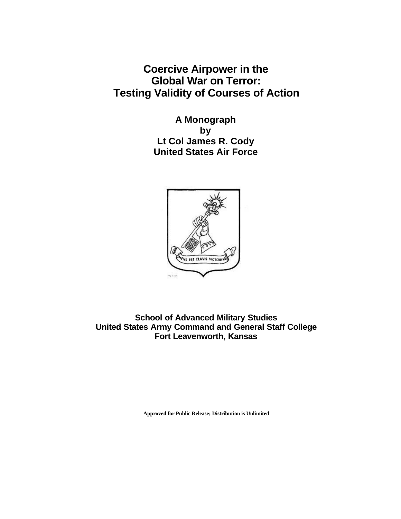**Coercive Airpower in the Global War on Terror: Testing Validity of Courses of Action**

> **A Monograph by Lt Col James R. Cody United States Air Force**



**School of Advanced Military Studies United States Army Command and General Staff College Fort Leavenworth, Kansas**

**Approved for Public Release; Distribution is Unlimited**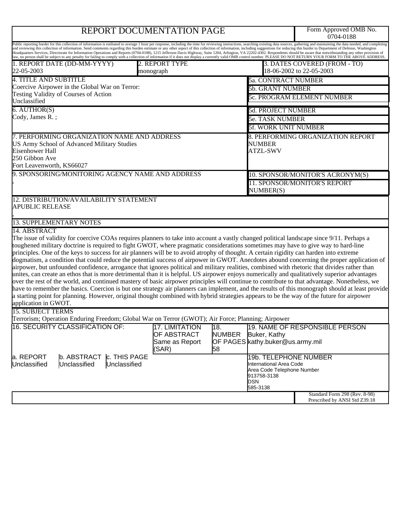# REPORT DOCUMENTATION PAGE

Form Approved OMB No.<br>0704-0188

|                                                                                                                                                                     |                                                                        | Public reporting burder for this collection of information is estibated to average 1 hour per response, including the time for reviewing instructions, searching existing data sources, gathering and maintaining the data nee<br>and reviewing this collection of information. Send comments regarding this burden estimate or any other aspect of this collection of information, including suggestions for reducing this burder to Department of Defense, Was<br>Headquarters Services, Directorate for Information Operations and Reports (0704-0188), 1215 Jefferson Davis Highway, Suite 1204, Arlington, VA 22202-4302. Respondents should be aware that notwithstanding any other provisio                                                                                                                                                                                                                                                                                                                                                                                                                                                                                                                                                                                                                       |
|---------------------------------------------------------------------------------------------------------------------------------------------------------------------|------------------------------------------------------------------------|--------------------------------------------------------------------------------------------------------------------------------------------------------------------------------------------------------------------------------------------------------------------------------------------------------------------------------------------------------------------------------------------------------------------------------------------------------------------------------------------------------------------------------------------------------------------------------------------------------------------------------------------------------------------------------------------------------------------------------------------------------------------------------------------------------------------------------------------------------------------------------------------------------------------------------------------------------------------------------------------------------------------------------------------------------------------------------------------------------------------------------------------------------------------------------------------------------------------------------------------------------------------------------------------------------------------------|
| 1. REPORT DATE (DD-MM-YYYY)                                                                                                                                         | 2. REPORT TYPE                                                         | law, no person shall be subject to any penalty for failing to comply with a collection of information if it does not display a currently valid OMB control number. PLEASE DO NOT RETURN YOUR FORM TO THE ABOVE ADDRESS.<br>3. DATES COVERED (FROM - TO)<br>18-06-2002 to 22-05-2003                                                                                                                                                                                                                                                                                                                                                                                                                                                                                                                                                                                                                                                                                                                                                                                                                                                                                                                                                                                                                                      |
| 22-05-2003                                                                                                                                                          | monograph                                                              |                                                                                                                                                                                                                                                                                                                                                                                                                                                                                                                                                                                                                                                                                                                                                                                                                                                                                                                                                                                                                                                                                                                                                                                                                                                                                                                          |
| <b>4. TITLE AND SUBTITLE</b><br>Coercive Airpower in the Global War on Terror:                                                                                      |                                                                        | <b>5a. CONTRACT NUMBER</b>                                                                                                                                                                                                                                                                                                                                                                                                                                                                                                                                                                                                                                                                                                                                                                                                                                                                                                                                                                                                                                                                                                                                                                                                                                                                                               |
| Testing Validity of Courses of Action                                                                                                                               | <b>5b. GRANT NUMBER</b>                                                |                                                                                                                                                                                                                                                                                                                                                                                                                                                                                                                                                                                                                                                                                                                                                                                                                                                                                                                                                                                                                                                                                                                                                                                                                                                                                                                          |
| Unclassified                                                                                                                                                        |                                                                        | 5c. PROGRAM ELEMENT NUMBER                                                                                                                                                                                                                                                                                                                                                                                                                                                                                                                                                                                                                                                                                                                                                                                                                                                                                                                                                                                                                                                                                                                                                                                                                                                                                               |
| $6.$ AUTHOR(S)<br>Cody, James R.;                                                                                                                                   |                                                                        | <b>5d. PROJECT NUMBER</b>                                                                                                                                                                                                                                                                                                                                                                                                                                                                                                                                                                                                                                                                                                                                                                                                                                                                                                                                                                                                                                                                                                                                                                                                                                                                                                |
|                                                                                                                                                                     |                                                                        | <b>5e. TASK NUMBER</b>                                                                                                                                                                                                                                                                                                                                                                                                                                                                                                                                                                                                                                                                                                                                                                                                                                                                                                                                                                                                                                                                                                                                                                                                                                                                                                   |
|                                                                                                                                                                     |                                                                        | <b>5f. WORK UNIT NUMBER</b>                                                                                                                                                                                                                                                                                                                                                                                                                                                                                                                                                                                                                                                                                                                                                                                                                                                                                                                                                                                                                                                                                                                                                                                                                                                                                              |
| 7. PERFORMING ORGANIZATION NAME AND ADDRESS<br><b>US Army School of Advanced Military Studies</b><br>Eisenhower Hall<br>250 Gibbon Ave<br>Fort Leavenworth, KS66027 | 8. PERFORMING ORGANIZATION REPORT<br><b>NUMBER</b><br><b>ATZL-SWV</b>  |                                                                                                                                                                                                                                                                                                                                                                                                                                                                                                                                                                                                                                                                                                                                                                                                                                                                                                                                                                                                                                                                                                                                                                                                                                                                                                                          |
| 9. SPONSORING/MONITORING AGENCY NAME AND ADDRESS                                                                                                                    | 10. SPONSOR/MONITOR'S ACRONYM(S)                                       |                                                                                                                                                                                                                                                                                                                                                                                                                                                                                                                                                                                                                                                                                                                                                                                                                                                                                                                                                                                                                                                                                                                                                                                                                                                                                                                          |
|                                                                                                                                                                     |                                                                        | 11. SPONSOR/MONITOR'S REPORT<br>NUMBER(S)                                                                                                                                                                                                                                                                                                                                                                                                                                                                                                                                                                                                                                                                                                                                                                                                                                                                                                                                                                                                                                                                                                                                                                                                                                                                                |
| 12. DISTRIBUTION/AVAILABILITY STATEMENT<br><b>APUBLIC RELEASE</b>                                                                                                   |                                                                        |                                                                                                                                                                                                                                                                                                                                                                                                                                                                                                                                                                                                                                                                                                                                                                                                                                                                                                                                                                                                                                                                                                                                                                                                                                                                                                                          |
| <b>13. SUPPLEMENTARY NOTES</b>                                                                                                                                      |                                                                        |                                                                                                                                                                                                                                                                                                                                                                                                                                                                                                                                                                                                                                                                                                                                                                                                                                                                                                                                                                                                                                                                                                                                                                                                                                                                                                                          |
| 14. ABSTRACT                                                                                                                                                        |                                                                        |                                                                                                                                                                                                                                                                                                                                                                                                                                                                                                                                                                                                                                                                                                                                                                                                                                                                                                                                                                                                                                                                                                                                                                                                                                                                                                                          |
| application in GWOT.                                                                                                                                                |                                                                        | The issue of validity for coercive COAs requires planners to take into account a vastly changed political landscape since 9/11. Perhaps a<br>toughened military doctrine is required to fight GWOT, where pragmatic considerations sometimes may have to give way to hard-line<br>principles. One of the keys to success for air planners will be to avoid atrophy of thought. A certain rigidity can harden into extreme<br>dogmatism, a condition that could reduce the potential success of airpower in GWOT. Anecdotes abound concerning the proper application of<br>airpower, but unfounded confidence, arrogance that ignores political and military realities, combined with rhetoric that divides rather than<br>unites, can create an ethos that is more detrimental than it is helpful. US airpower enjoys numerically and qualitatively superior advantages<br>over the rest of the world, and continued mastery of basic airpower principles will continue to contribute to that advantage. Nonetheless, we<br>have to remember the basics. Coercion is but one strategy air planners can implement, and the results of this monograph should at least provide<br>a starting point for planning. However, original thought combined with hybrid strategies appears to be the way of the future for airpower |
| <b>15. SUBJECT TERMS</b>                                                                                                                                            |                                                                        |                                                                                                                                                                                                                                                                                                                                                                                                                                                                                                                                                                                                                                                                                                                                                                                                                                                                                                                                                                                                                                                                                                                                                                                                                                                                                                                          |
| Terrorism; Operation Enduring Freedom; Global War on Terror (GWOT); Air Force; Planning; Airpower                                                                   |                                                                        |                                                                                                                                                                                                                                                                                                                                                                                                                                                                                                                                                                                                                                                                                                                                                                                                                                                                                                                                                                                                                                                                                                                                                                                                                                                                                                                          |
| 16. SECURITY CLASSIFICATION OF:                                                                                                                                     | <b>17. LIMITATION</b><br><b>OF ABSTRACT</b><br>Same as Report<br>(SAR) | 19. NAME OF RESPONSIBLE PERSON<br>18.<br><b>NUMBER</b><br>Buker, Kathy<br>OF PAGES kathy buker@us.army.mil<br>58                                                                                                                                                                                                                                                                                                                                                                                                                                                                                                                                                                                                                                                                                                                                                                                                                                                                                                                                                                                                                                                                                                                                                                                                         |
| b. ABSTRACT  c. THIS PAGE<br>a. REPORT<br>Unclassified<br>Unclassified<br>Unclassified                                                                              |                                                                        | 19b. TELEPHONE NUMBER<br>International Area Code<br>Area Code Telephone Number<br>913758-3138<br>DSN<br>585-3138                                                                                                                                                                                                                                                                                                                                                                                                                                                                                                                                                                                                                                                                                                                                                                                                                                                                                                                                                                                                                                                                                                                                                                                                         |
|                                                                                                                                                                     |                                                                        | Standard Form 298 (Rev. 8-98)<br>Prescribed by ANSI Std Z39.18                                                                                                                                                                                                                                                                                                                                                                                                                                                                                                                                                                                                                                                                                                                                                                                                                                                                                                                                                                                                                                                                                                                                                                                                                                                           |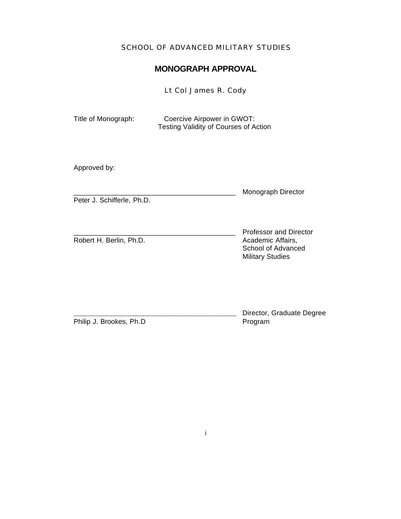### SCHOOL OF ADVANCED MILITARY STUDIES

### **MONOGRAPH APPROVAL**

Lt Col James R. Cody

| Title of Monograph: | Coercive Airpower in GWOT:            |  |
|---------------------|---------------------------------------|--|
|                     | Testing Validity of Courses of Action |  |

Approved by:

Monograph Director

Peter J. Schifferle, Ph.D.

Robert H. Berlin, Ph.D. **Academic Affairs**,

\_\_\_\_\_\_\_\_\_\_\_\_\_\_\_\_\_\_\_\_\_\_\_\_\_\_\_\_\_\_\_\_\_\_\_\_\_\_\_\_\_ Professor and Director School of Advanced Military Studies

Philip J. Brookes, Ph.D

Director, Graduate Degree<br>Program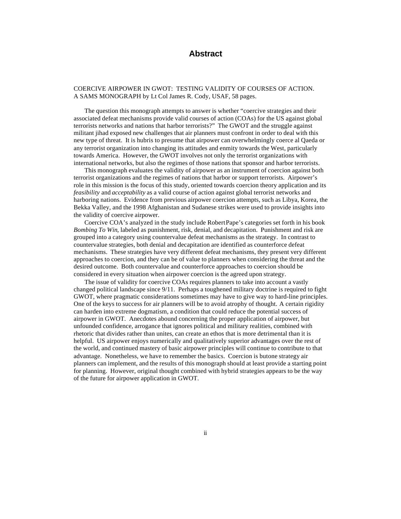### **Abstract**

#### COERCIVE AIRPOWER IN GWOT: TESTING VALIDITY OF COURSES OF ACTION. A SAMS MONOGRAPH by Lt Col James R. Cody, USAF, 58 pages.

The question this monograph attempts to answer is whether "coercive strategies and their associated defeat mechanisms provide valid courses of action (COAs) for the US against global terrorists networks and nations that harbor terrorists?" The GWOT and the struggle against militant jihad exposed new challenges that air planners must confront in order to deal with this new type of threat. It is hubris to presume that airpower can overwhelmingly coerce al Qaeda or any terrorist organization into changing its attitudes and enmity towards the West, particularly towards America. However, the GWOT involves not only the terrorist organizations with international networks, but also the regimes of those nations that sponsor and harbor terrorists.

This monograph evaluates the validity of airpower as an instrument of coercion against both terrorist organizations and the regimes of nations that harbor or support terrorists. Airpower's role in this mission is the focus of this study, oriented towards coercion theory application and its *feasibility* and *acceptability* as a valid course of action against global terrorist networks and harboring nations. Evidence from previous airpower coercion attempts, such as Libya, Korea, the Bekka Valley, and the 1998 Afghanistan and Sudanese strikes were used to provide insights into the validity of coercive airpower.

Coercive COA's analyzed in the study include Robert Pape's categories set forth in his book *Bombing To Win*, labeled as punishment, risk, denial, and decapitation. Punishment and risk are grouped into a category using countervalue defeat mechanisms as the strategy. In contrast to countervalue strategies, both denial and decapitation are identified as counterforce defeat mechanisms. These strategies have very different defeat mechanisms, they present very different approaches to coercion, and they can be of value to planners when considering the threat and the desired outcome. Both countervalue and counterforce approaches to coercion should be considered in every situation when airpower coercion is the agreed upon strategy.

The issue of validity for coercive COAs requires planners to take into account a vastly changed political landscape since 9/11. Perhaps a toughened military doctrine is required to fight GWOT, where pragmatic considerations sometimes may have to give way to hard-line principles. One of the keys to success for air planners will be to avoid atrophy of thought. A certain rigidity can harden into extreme dogmatism, a condition that could reduce the potential success of airpower in GWOT. Anecdotes abound concerning the proper application of airpower, but unfounded confidence, arrogance that ignores political and military realities, combined with rhetoric that divides rather than unites, can create an ethos that is more detrimental than it is helpful. US airpower enjoys numerically and qualitatively superior advantages over the rest of the world, and continued mastery of basic airpower principles will continue to contribute to that advantage. Nonetheless, we have to remember the basics. Coercion is but one strategy air planners can implement, and the results of this monograph should at least provide a starting point for planning. However, original thought combined with hybrid strategies appears to be the way of the future for airpower application in GWOT.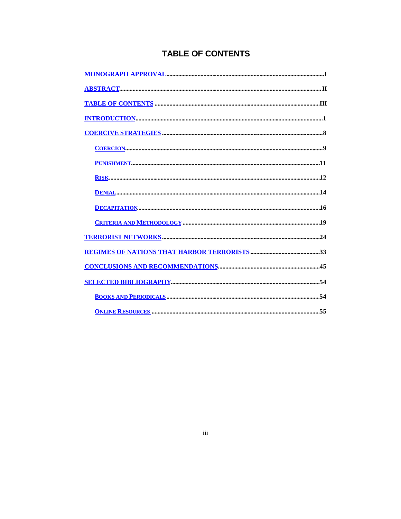## **TABLE OF CONTENTS**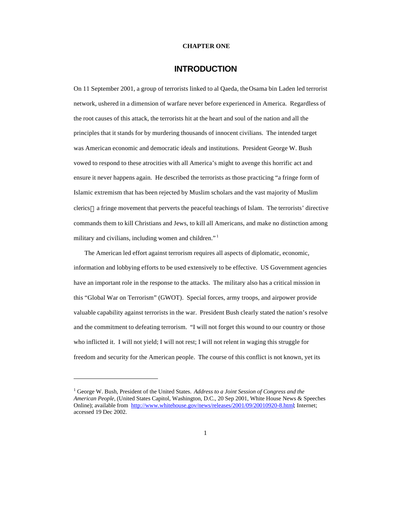#### **CHAPTER ONE**

### **INTRODUCTION**

On 11 September 2001, a group of terrorists linked to al Qaeda, the Osama bin Laden led terrorist network, ushered in a dimension of warfare never before experienced in America. Regardless of the root causes of this attack, the terrorists hit at the heart and soul of the nation and all the principles that it stands for by murdering thousands of innocent civilians. The intended target was American economic and democratic ideals and institutions. President George W. Bush vowed to respond to these atrocities with all America's might to avenge this horrific act and ensure it never happens again. He described the terrorists as those practicing "a fringe form of Islamic extremism that has been rejected by Muslim scholars and the vast majority of Muslim clerics—a fringe movement that perverts the peaceful teachings of Islam. The terrorists' directive commands them to kill Christians and Jews, to kill all Americans, and make no distinction among military and civilians, including women and children."<sup>1</sup>

The American led effort against terrorism requires all aspects of diplomatic, economic, information and lobbying efforts to be used extensively to be effective. US Government agencies have an important role in the response to the attacks. The military also has a critical mission in this "Global War on Terrorism" (GWOT). Special forces, army troops, and airpower provide valuable capability against terrorists in the war. President Bush clearly stated the nation's resolve and the commitment to defeating terrorism. "I will not forget this wound to our country or those who inflicted it. I will not yield; I will not rest; I will not relent in waging this struggle for freedom and security for the American people. The course of this conflict is not known, yet its

<sup>&</sup>lt;sup>1</sup> George W. Bush, President of the United States. *Address to a Joint Session of Congress and the American People,* (United States Capitol, Washington, D.C., 20 Sep 2001, White House News & Speeches Online); available from http://www.whitehouse.gov/news/releases/2001/09/20010920-8.html; Internet; accessed 19 Dec 2002.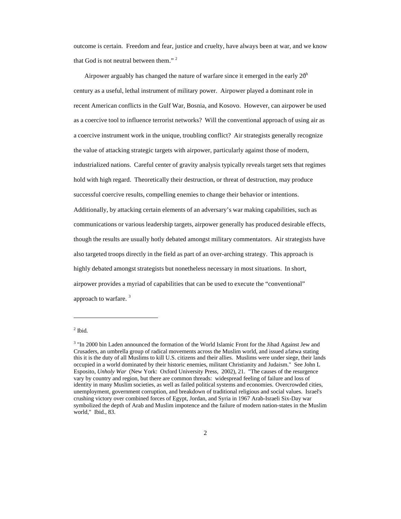outcome is certain. Freedom and fear, justice and cruelty, have always been at war, and we know that God is not neutral between them." <sup>2</sup>

Airpower arguably has changed the nature of warfare since it emerged in the early  $20<sup>h</sup>$ century as a useful, lethal instrument of military power. Airpower played a dominant role in recent American conflicts in the Gulf War, Bosnia, and Kosovo. However, can airpower be used as a coercive tool to influence terrorist networks? Will the conventional approach of using air as a coercive instrument work in the unique, troubling conflict? Air strategists generally recognize the value of attacking strategic targets with airpower, particularly against those of modern, industrialized nations. Careful center of gravity analysis typically reveals target sets that regimes hold with high regard. Theoretically their destruction, or threat of destruction, may produce successful coercive results, compelling enemies to change their behavior or intentions. Additionally, by attacking certain elements of an adversary's war making capabilities, such as communications or various leadership targets, airpower generally has produced desirable effects, though the results are usually hotly debated amongst military commentators. Air strategists have also targeted troops directly in the field as part of an over-arching strategy. This approach is highly debated amongst strategists but nonetheless necessary in most situations. In short, airpower provides a myriad of capabilities that can be used to execute the "conventional" approach to warfare. <sup>3</sup>

 $<sup>2</sup>$  Ibid.</sup>

<sup>3</sup> "In 2000 bin Laden announced the formation of the World Islamic Front for the Jihad Against Jew and Crusaders, an umbrella group of radical movements across the Muslim world, and issued a fatwa stating this it is the duty of all Muslims to kill U.S. citizens and their allies. Muslims were under siege, their lands occupied in a world dominated by their historic enemies, militant Christianity and Judaism." See John L Esposito, *Unholy War* (New York: Oxford University Press, 2002), 21. "The causes of the resurgence vary by country and region, but there are common threads: widespread feeling of failure and loss of identity in many Muslim societies, as well as failed political systems and economies. Overcrowded cities, unemployment, government corruption, and breakdown of traditional religious and social values. Israel's crushing victory over combined forces of Egypt, Jordan, and Syria in 1967 Arab-Israeli Six-Day war symbolized the depth of Arab and Muslim impotence and the failure of modern nation-states in the Muslim world," Ibid., 83.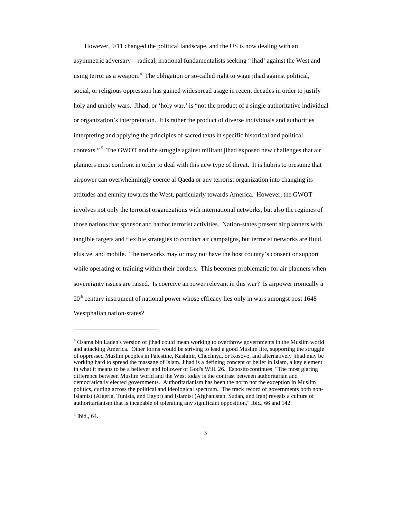However, 9/11 changed the political landscape, and the US is now dealing with an asymmetric adversary—radical, irrational fundamentalists seeking 'jihad' against the West and using terror as a weapon.<sup>4</sup> The obligation or so-called right to wage jihad against political, social, or religious oppression has gained widespread usage in recent decades in order to justify holy and unholy wars. Jihad, or 'holy war,' is "not the product of a single authoritative individual or organization's interpretation. It is rather the product of diverse individuals and authorities interpreting and applying the principles of sacred texts in specific historical and political contexts."<sup>5</sup> The GWOT and the struggle against militant jihad exposed new challenges that air planners must confront in order to deal with this new type of threat. It is hubris to presume that airpower can overwhelmingly coerce al Qaeda or any terrorist organization into changing its attitudes and enmity towards the West, particularly towards America. However, the GWOT involves not only the terrorist organizations with international networks, but also the regimes of those nations that sponsor and harbor terrorist activities. Nation-states present air planners with tangible targets and flexible strategies to conduct air campaigns, but terrorist networks are fluid, elusive, and mobile. The networks may or may not have the host country's consent or support while operating or training within their borders. This becomes problematic for air planners when sovereignty issues are raised. Is coercive airpower relevant in this war? Is airpower ironically a 20<sup>th</sup> century instrument of national power whose efficacy lies only in wars amongst post 1648 Westphalian nation-states?

5 Ibid., 64.

<sup>4</sup> Osama bin Laden's version of jihad could mean working to overthrow governments in the Muslim world and attacking America. Other forms would be striving to lead a good Muslim life, supporting the struggle of oppressed Muslim peoples in Palestine, Kashmir, Chechnya, or Kosovo, and alternatively jihad may be working hard to spread the massage of Islam. Jihad is a defining concept or belief in Islam, a key element in what it means to be a believer and follower of God's Will. 26. Esposito continues "The most glaring difference between Muslim world and the West today is the contrast between authoritarian and democratically elected governments. Authoritarianism has been the norm not the exception in Muslim politics, cutting across the political and ideological spectrum. The track record of governments both non-Islamist (Algeria, Tunisia, and Egypt) and Islamist (Afghanistan, Sudan, and Iran) reveals a culture of authoritarianism that is incapable of tolerating any significant opposition," Ibid., 66 and 142.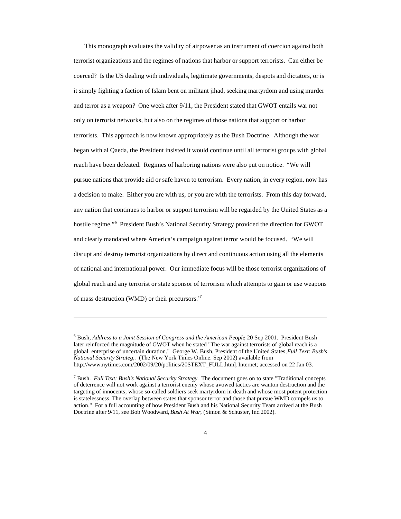This monograph evaluates the validity of airpower as an instrument of coercion against both terrorist organizations and the regimes of nations that harbor or support terrorists. Can either be coerced? Is the US dealing with individuals, legitimate governments, despots and dictators, or is it simply fighting a faction of Islam bent on militant jihad, seeking martyrdom and using murder and terror as a weapon? One week after 9/11, the President stated that GWOT entails war not only on terrorist networks, but also on the regimes of those nations that support or harbor terrorists. This approach is now known appropriately as the Bush Doctrine. Although the war began with al Qaeda, the President insisted it would continue until all terrorist groups with global reach have been defeated. Regimes of harboring nations were also put on notice. "We will pursue nations that provide aid or safe haven to terrorism. Every nation, in every region, now has a decision to make. Either you are with us, or you are with the terrorists. From this day forward, any nation that continues to harbor or support terrorism will be regarded by the United States as a hostile regime."<sup>6</sup> President Bush's National Security Strategy provided the direction for GWOT and clearly mandated where America's campaign against terror would be focused. "We will disrupt and destroy terrorist organizations by direct and continuous action using all the elements of national and international power. Our immediate focus will be those terrorist organizations of global reach and any terrorist or state sponsor of terrorism which attempts to gain or use weapons of mass destruction (WMD) or their precursors."<sup>7</sup>

<sup>&</sup>lt;sup>6</sup> Bush, *Address to a Joint Session of Congress and the American People*, 20 Sep 2001. President Bush later reinforced the magnitude of GWOT when he stated "The war against terrorists of global reach is a global enterprise of uncertain duration." George W. Bush, President of the United States, *Full Text: Bush's National Security Strateg,.* (The New York Times Online. Sep 2002) available from http://www.nytimes.com/2002/09/20/politics/20STEXT\_FULL.html; Internet; accessed on 22 Jan 03.

<sup>7</sup> Bush. *Full Text: Bush's National Security Strategy.* The document goes on to state "Traditional concepts of deterrence will not work against a terrorist enemy whose avowed tactics are wanton destruction and the targeting of innocents; whose so-called soldiers seek martyrdom in death and whose most potent protection is statelessness. The overlap between states that sponsor terror and those that pursue WMD compels us to action." For a full accounting of how President Bush and his National Security Team arrived at the Bush Doctrine after 9/11, see Bob Woodward, *Bush At War*, (Simon & Schuster, Inc.2002).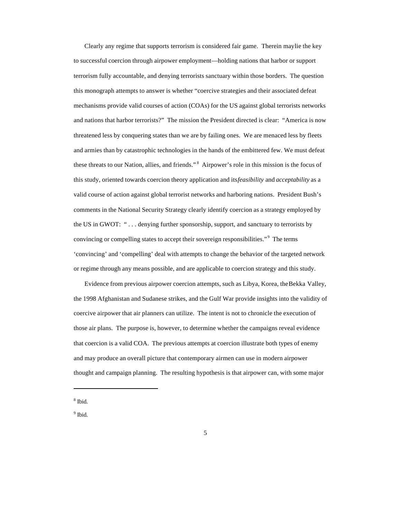Clearly any regime that supports terrorism is considered fair game. Therein may lie the key to successful coercion through airpower employment—holding nations that harbor or support terrorism fully accountable, and denying terrorists sanctuary within those borders. The question this monograph attempts to answer is whether "coercive strategies and their associated defeat mechanisms provide valid courses of action (COAs) for the US against global terrorists networks and nations that harbor terrorists?" The mission the President directed is clear: "America is now threatened less by conquering states than we are by failing ones. We are menaced less by fleets and armies than by catastrophic technologies in the hands of the embittered few. We must defeat these threats to our Nation, allies, and friends."<sup>8</sup> Airpower's role in this mission is the focus of this study, oriented towards coercion theory application and its *feasibility* and *acceptability* as a valid course of action against global terrorist networks and harboring nations. President Bush's comments in the National Security Strategy clearly identify coercion as a strategy employed by the US in GWOT: " . . . denying further sponsorship, support, and sanctuary to terrorists by convincing or compelling states to accept their sovereign responsibilities."<sup>9</sup> The terms 'convincing' and 'compelling' deal with attempts to change the behavior of the targeted network or regime through any means possible, and are applicable to coercion strategy and this study.

Evidence from previous airpower coercion attempts, such as Libya, Korea, the Bekka Valley, the 1998 Afghanistan and Sudanese strikes, and the Gulf War provide insights into the validity of coercive airpower that air planners can utilize. The intent is not to chronicle the execution of those air plans. The purpose is, however, to determine whether the campaigns reveal evidence that coercion is a valid COA. The previous attempts at coercion illustrate both types of enemy and may produce an overall picture that contemporary airmen can use in modern airpower thought and campaign planning. The resulting hypothesis is that airpower can, with some major

8 Ibid.

 $\overline{a}$ 

<sup>9</sup> Ibid.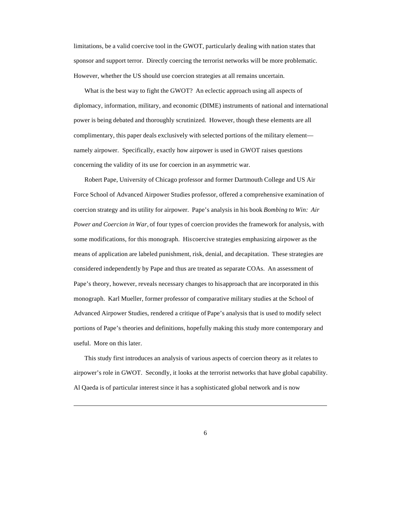limitations, be a valid coercive tool in the GWOT, particularly dealing with nation states that sponsor and support terror. Directly coercing the terrorist networks will be more problematic. However, whether the US should use coercion strategies at all remains uncertain.

What is the best way to fight the GWOT? An eclectic approach using all aspects of diplomacy, information, military, and economic (DIME) instruments of national and international power is being debated and thoroughly scrutinized. However, though these elements are all complimentary, this paper deals exclusively with selected portions of the military element namely airpower. Specifically, exactly how airpower is used in GWOT raises questions concerning the validity of its use for coercion in an asymmetric war.

Robert Pape, University of Chicago professor and former Dartmouth College and US Air Force School of Advanced Airpower Studies professor, offered a comprehensive examination of coercion strategy and its utility for airpower. Pape's analysis in his book *Bombing to Win: Air Power and Coercion in War,* of four types of coercion provides the framework for analysis, with some modifications, for this monograph. His coercive strategies emphasizing airpower as the means of application are labeled punishment, risk, denial, and decapitation. These strategies are considered independently by Pape and thus are treated as separate COAs. An assessment of Pape's theory, however, reveals necessary changes to his approach that are incorporated in this monograph. Karl Mueller, former professor of comparative military studies at the School of Advanced Airpower Studies, rendered a critique of Pape's analysis that is used to modify select portions of Pape's theories and definitions, hopefully making this study more contemporary and useful. More on this later.

This study first introduces an analysis of various aspects of coercion theory as it relates to airpower's role in GWOT. Secondly, it looks at the terrorist networks that have global capability. Al Qaeda is of particular interest since it has a sophisticated global network and is now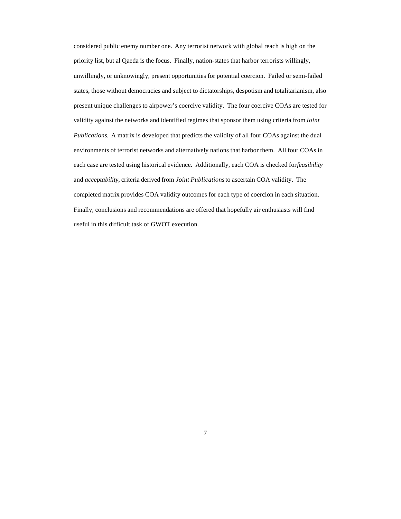considered public enemy number one. Any terrorist network with global reach is high on the priority list, but al Qaeda is the focus. Finally, nation-states that harbor terrorists willingly, unwillingly, or unknowingly, present opportunities for potential coercion. Failed or semi-failed states, those without democracies and subject to dictatorships, despotism and totalitarianism, also present unique challenges to airpower's coercive validity. The four coercive COAs are tested for validity against the networks and identified regimes that sponsor them using criteria from *Joint Publications*. A matrix is developed that predicts the validity of all four COAs against the dual environments of terrorist networks and alternatively nations that harbor them. All four COAs in each case are tested using historical evidence. Additionally, each COA is checked for *feasibility* and *acceptability*, criteria derived from *Joint Publications* to ascertain COA validity. The completed matrix provides COA validity outcomes for each type of coercion in each situation. Finally, conclusions and recommendations are offered that hopefully air enthusiasts will find useful in this difficult task of GWOT execution.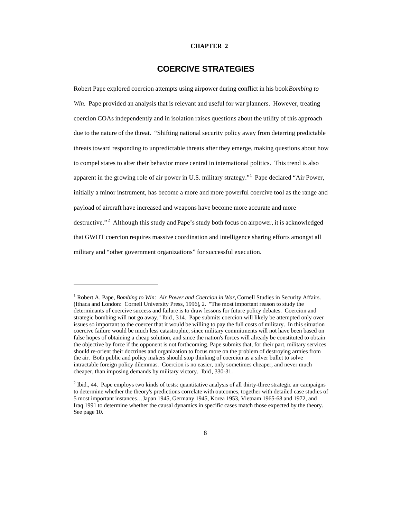#### **CHAPTER 2**

### **COERCIVE STRATEGIES**

Robert Pape explored coercion attempts using airpower during conflict in his book *Bombing to Win*. Pape provided an analysis that is relevant and useful for war planners. However, treating coercion COAs independently and in isolation raises questions about the utility of this approach due to the nature of the threat. "Shifting national security policy away from deterring predictable threats toward responding to unpredictable threats after they emerge, making questions about how to compel states to alter their behavior more central in international politics. This trend is also apparent in the growing role of air power in U.S. military strategy."<sup>1</sup> Pape declared "Air Power, initially a minor instrument, has become a more and more powerful coercive tool as the range and payload of aircraft have increased and weapons have become more accurate and more destructive."<sup>2</sup> Although this study and Pape's study both focus on airpower, it is acknowledged that GWOT coercion requires massive coordination and intelligence sharing efforts amongst all military and "other government organizations" for successful execution.

<sup>&</sup>lt;sup>1</sup> Robert A. Pape, *Bombing to Win: Air Power and Coercion in War*, Cornell Studies in Security Affairs. (Ithaca and London: Cornell University Press, 1996), 2. "The most important reason to study the determinants of coercive success and failure is to draw lessons for future policy debates. Coercion and strategic bombing will not go away," Ibid., 314. Pape submits coercion will likely be attempted only over issues so important to the coercer that it would be willing to pay the full costs of military. In this situation coercive failure would be much less catastrophic, since military commitments will not have been based on false hopes of obtaining a cheap solution, and since the nation's forces will already be constituted to obtain the objective by force if the opponent is not forthcoming. Pape submits that, for their part, military services should re-orient their doctrines and organization to focus more on the problem of destroying armies from the air. Both public and policy makers should stop thinking of coercion as a silver bullet to solve intractable foreign policy dilemmas. Coercion is no easier, only sometimes cheaper, and never much cheaper, than imposing demands by military victory. Ibid., 330-31.

 $2$  Ibid., 44. Pape employs two kinds of tests: quantitative analysis of all thirty-three strategic air campaigns to determine whether the theory's predictions correlate with outcomes, together with detailed case studies of 5 most important instances…Japan 1945, Germany 1945, Korea 1953, Vietnam 1965-68 and 1972, and Iraq 1991 to determine whether the causal dynamics in specific cases match those expected by the theory. See page 10.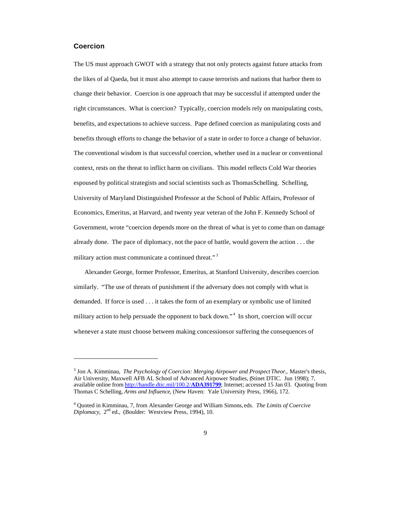#### **Coercion**

 $\overline{a}$ 

The US must approach GWOT with a strategy that not only protects against future attacks from the likes of al Qaeda, but it must also attempt to cause terrorists and nations that harbor them to change their behavior. Coercion is one approach that may be successful if attempted under the right circumstances. What is coercion? Typically, coercion models rely on manipulating costs, benefits, and expectations to achieve success. Pape defined coercion as manipulating costs and benefits through efforts to change the behavior of a state in order to force a change of behavior. The conventional wisdom is that successful coercion, whether used in a nuclear or conventional context, rests on the threat to inflict harm on civilians. This model reflects Cold War theories espoused by political strategists and social scientists such as Thomas Schelling. Schelling, University of Maryland Distinguished Professor at the School of Public Affairs, Professor of Economics, Emeritus, at Harvard, and twenty year veteran of the John F. Kennedy School of Government, wrote "coercion depends more on the threat of what is yet to come than on damage already done. The pace of diplomacy, not the pace of battle, would govern the action  $\dots$  the military action must communicate a continued threat."<sup>3</sup>

Alexander George, former Professor, Emeritus, at Stanford University, describes coercion similarly. "The use of threats of punishment if the adversary does not comply with what is demanded. If force is used . . . it takes the form of an exemplary or symbolic use of limited military action to help persuade the opponent to back down."<sup>4</sup> In short, coercion will occur whenever a state must choose between making concessions or suffering the consequences of

<sup>3</sup> Jon A. Kimminau, *The Psychology of Coercion: Merging Airpower and Prospect Theor,*. Master's thesis, Air University, Maxwell AFB AL School of Advanced Airpower Studies, (Stinet DTIC. Jun 1998); 7, available online from http://handle.dtic.mil/100.2/**ADA391799**; Internet; accessed 15 Jan 03. Quoting from Thomas C Schelling, *Arms and Influence*, (New Haven: Yale University Press, 1966), 172.

<sup>4</sup> Quoted in Kimminau, 7, from Alexander George and William Simons, eds. *The Limits of Coercive Diplomacy*, 2nd ed., (Boulder: Westview Press, 1994), 10.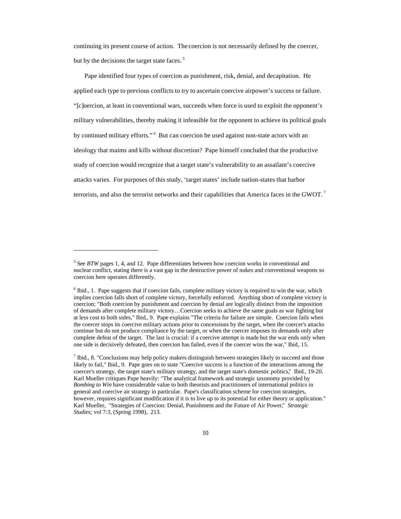continuing its present course of action. The coercion is not necessarily defined by the coercer, but by the decisions the target state faces.<sup>5</sup>

Pape identified four types of coercion as punishment, risk, denial, and decapitation. He applied each type to previous conflicts to try to ascertain coercive airpower's success or failure. "[c]oercion, at least in conventional wars, succeeds when force is used to exploit the opponent's military vulnerabilities, thereby making it infeasible for the opponent to achieve its political goals by continued military efforts."<sup>6</sup> But can coercion be used against non-state actors with an ideology that maims and kills without discretion? Pape himself concluded that the productive study of coercion would recognize that a target state's vulnerability to an assailant's coercive attacks varies. For purposes of this study, 'target states' include nation-states that harbor terrorists, and also the terrorist networks and their capabilities that America faces in the GWOT.<sup>7</sup>

<sup>&</sup>lt;sup>5</sup> See *BTW* pages 1, 4, and 12. Pape differentiates between how coercion works in conventional and nuclear conflict, stating there is a vast gap in the destructive power of nukes and conventional weapons so coercion here operates differently.

<sup>&</sup>lt;sup>6</sup> Ibid., 1. Pape suggests that if coercion fails, complete military victory is required to win the war, which implies coercion falls short of complete victory, forcefully enforced. Anything short of complete victory is coercion; "Both coercion by punishment and coercion by denial are logically distinct from the imposition of demands after complete military victory…Coercion seeks to achieve the same goals as war fighting but at less cost to both sides," Ibid., 9. Pape explains "The criteria for failure are simple. Coercion fails when the coercer stops its coercive military actions prior to concessions by the target, when the coercer's attacks continue but do not produce compliance by the target, or when the coercer imposes its demands only after complete defeat of the target. The last is crucial: if a coercive attempt is made but the war ends only when one side is decisively defeated, then coercion has failed, even if the coercer wins the war," Ibid., 15.

 $<sup>7</sup>$  Ibid., 8. "Conclusions may help policy makers distinguish between strategies likely to succeed and those</sup> likely to fail," Ibid., 9. Pape goes on to state "Coercive success is a function of the interactions among the coercer's strategy, the target state's military strategy, and the target state's domestic politics," Ibid., 19-20. Karl Mueller critiques Pape heavily: "The analytical framework and strategic taxonomy provided by *Bombing to Win* have considerable value to both theorists and practitioners of international politics in general and coercive air strategy in particular. Pape's classification scheme for coercion strategies, however, requires significant modification if it is to live up to its potential for either theory or application." Karl Mueller, "Strategies of Coercion: Denial, Punishment and the Future of Air Power," *Strategic Studies;* vol 7:3, (Spring 1998), 213.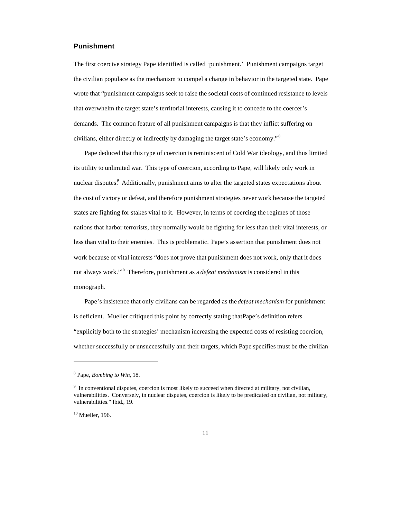#### **Punishment**

The first coercive strategy Pape identified is called 'punishment.' Punishment campaigns target the civilian populace as the mechanism to compel a change in behavior in the targeted state. Pape wrote that "punishment campaigns seek to raise the societal costs of continued resistance to levels that overwhelm the target state's territorial interests, causing it to concede to the coercer's demands. The common feature of all punishment campaigns is that they inflict suffering on civilians, either directly or indirectly by damaging the target state's economy."<sup>8</sup>

Pape deduced that this type of coercion is reminiscent of Cold War ideology, and thus limited its utility to unlimited war. This type of coercion, according to Pape, will likely only work in nuclear disputes.<sup>9</sup> Additionally, punishment aims to alter the targeted states expectations about the cost of victory or defeat, and therefore punishment strategies never work because the targeted states are fighting for stakes vital to it. However, in terms of coercing the regimes of those nations that harbor terrorists, they normally would be fighting for less than their vital interests, or less than vital to their enemies. This is problematic. Pape's assertion that punishment does not work because of vital interests "does not prove that punishment does not work, only that it does not always work."<sup>10</sup> Therefore, punishment as a *defeat mechanism* is considered in this monograph.

Pape's insistence that only civilians can be regarded as the *defeat mechanism* for punishment is deficient. Mueller critiqued this point by correctly stating that Pape's definition refers "explicitly both to the strategies' mechanism increasing the expected costs of resisting coercion, whether successfully or unsuccessfully and their targets, which Pape specifies must be the civilian

<sup>8</sup> Pape, *Bombing to Win*, 18.

<sup>&</sup>lt;sup>9</sup> In conventional disputes, coercion is most likely to succeed when directed at military, not civilian, vulnerabilities. Conversely, in nuclear disputes, coercion is likely to be predicated on civilian, not military, vulnerabilities." Ibid., 19.

 $10$  Mueller, 196.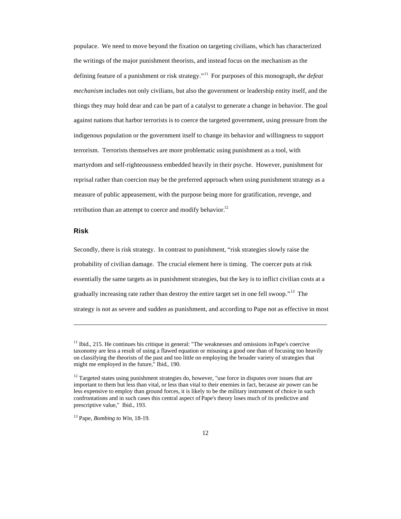populace. We need to move beyond the fixation on targeting civilians, which has characterized the writings of the major punishment theorists, and instead focus on the mechanism as the defining feature of a punishment or risk strategy." <sup>11</sup> For purposes of this monograph, *the defeat mechanism* includes not only civilians, but also the government or leadership entity itself, and the things they may hold dear and can be part of a catalyst to generate a change in behavior. The goal against nations that harbor terrorists is to coerce the targeted government, using pressure from the indigenous population or the government itself to change its behavior and willingness to support terrorism. Terrorists themselves are more problematic using punishment as a tool, with martyrdom and self-righteousness embedded heavily in their psyche. However, punishment for reprisal rather than coercion may be the preferred approach when using punishment strategy as a measure of public appeasement, with the purpose being more for gratification, revenge, and retribution than an attempt to coerce and modify behavior.<sup>12</sup>

#### **Risk**

 $\overline{a}$ 

Secondly, there is risk strategy. In contrast to punishment, "risk strategies slowly raise the probability of civilian damage. The crucial element here is timing. The coercer puts at risk essentially the same targets as in punishment strategies, but the key is to inflict civilian costs at a gradually increasing rate rather than destroy the entire target set in one fell swoop."<sup>13</sup> The strategy is not as severe and sudden as punishment, and according to Pape not as effective in most

 $<sup>11</sup>$  Ibid., 215. He continues his critique in general: "The weaknesses and omissions in Pape's coercive</sup> taxonomy are less a result of using a flawed equation or misusing a good one than of focusing too heavily on classifying the theorists of the past and too little on employing the broader variety of strategies that might me employed in the future," Ibid., 190.

 $12$  Targeted states using punishment strategies do, however, "use force in disputes over issues that are important to them but less than vital, or less than vital to their enemies in fact, because air power can be less expensive to employ than ground forces, it is likely to be the military instrument of choice in such confrontations and in such cases this central aspect of Pape's theory loses much of its predictive and prescriptive value," Ibid., 193.

<sup>13</sup> Pape, *Bombing to Win*, 18-19.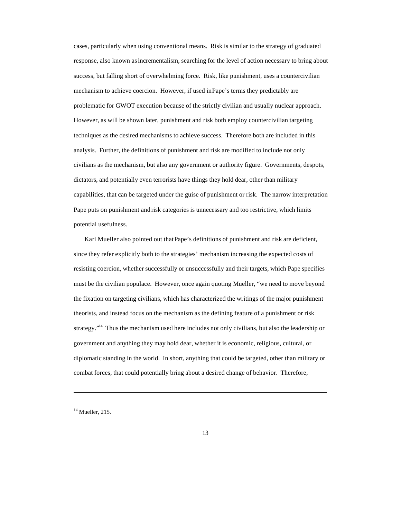cases, particularly when using conventional means. Risk is similar to the strategy of graduated response, also known as incrementalism, searching for the level of action necessary to bring about success, but falling short of overwhelming force. Risk, like punishment, uses a countercivilian mechanism to achieve coercion. However, if used in Pape's terms they predictably are problematic for GWOT execution because of the strictly civilian and usually nuclear approach. However, as will be shown later, punishment and risk both employ countercivilian targeting techniques as the desired mechanisms to achieve success. Therefore both are included in this analysis. Further, the definitions of punishment and risk are modified to include not only civilians as the mechanism, but also any government or authority figure. Governments, despots, dictators, and potentially even terrorists have things they hold dear, other than military capabilities, that can be targeted under the guise of punishment or risk. The narrow interpretation Pape puts on punishment and risk categories is unnecessary and too restrictive, which limits potential usefulness.

Karl Mueller also pointed out that Pape's definitions of punishment and risk are deficient, since they refer explicitly both to the strategies' mechanism increasing the expected costs of resisting coercion, whether successfully or unsuccessfully and their targets, which Pape specifies must be the civilian populace. However, once again quoting Mueller, "we need to move beyond the fixation on targeting civilians, which has characterized the writings of the major punishment theorists, and instead focus on the mechanism as the defining feature of a punishment or risk strategy."<sup>14</sup> Thus the mechanism used here includes not only civilians, but also the leadership or government and anything they may hold dear, whether it is economic, religious, cultural, or diplomatic standing in the world. In short, anything that could be targeted, other than military or combat forces, that could potentially bring about a desired change of behavior. Therefore,

 $14$  Mueller, 215.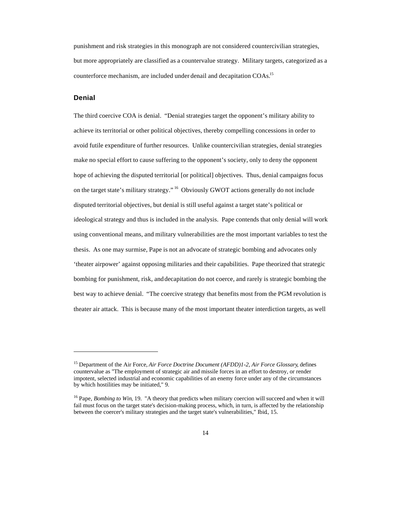punishment and risk strategies in this monograph are not considered countercivilian strategies, but more appropriately are classified as a countervalue strategy. Military targets, categorized as a counterforce mechanism, are included under denail and decapitation COAs.<sup>15</sup>

#### **Denial**

 $\overline{a}$ 

The third coercive COA is denial. "Denial strategies target the opponent's military ability to achieve its territorial or other political objectives, thereby compelling concessions in order to avoid futile expenditure of further resources. Unlike countercivilian strategies, denial strategies make no special effort to cause suffering to the opponent's society, only to deny the opponent hope of achieving the disputed territorial [or political] objectives. Thus, denial campaigns focus on the target state's military strategy." <sup>16</sup> Obviously GWOT actions generally do not include disputed territorial objectives, but denial is still useful against a target state's political or ideological strategy and thus is included in the analysis. Pape contends that only denial will work using conventional means, and military vulnerabilities are the most important variables to test the thesis. As one may surmise, Pape is not an advocate of strategic bombing and advocates only 'theater airpower' against opposing militaries and their capabilities. Pape theorized that strategic bombing for punishment, risk, and decapitation do not coerce, and rarely is strategic bombing the best way to achieve denial. "The coercive strategy that benefits most from the PGM revolution is theater air attack. This is because many of the most important theater interdiction targets, as well

<sup>15</sup> Department of the Air Force, *Air Force Doctrine Document (AFDD)1-2, Air Force Glossary*, defines countervalue as "The employment of strategic air and missile forces in an effort to destroy, or render impotent, selected industrial and economic capabilities of an enemy force under any of the circumstances by which hostilities may be initiated," 9.

<sup>&</sup>lt;sup>16</sup> Pape, *Bombing to Win*, 19. "A theory that predicts when military coercion will succeed and when it will fail must focus on the target state's decision-making process, which, in turn, is affected by the relationship between the coercer's military strategies and the target state's vulnerabilities," Ibid., 15.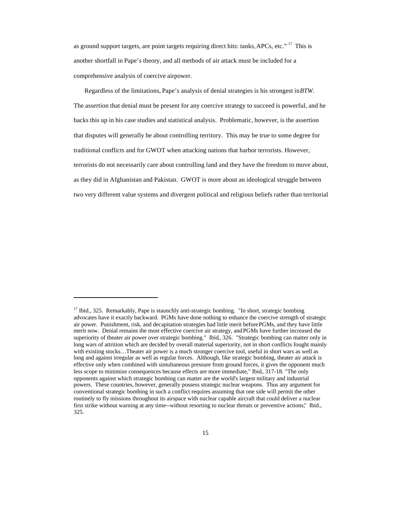as ground support targets, are point targets requiring direct hits: tanks, APCs, etc." <sup>17</sup> This is another shortfall in Pape's theory, and all methods of air attack must be included for a comprehensive analysis of coercive airpower.

Regardless of the limitations, Pape's analysis of denial strategies is his strongest in *BTW*. The assertion that denial must be present for any coercive strategy to succeed is powerful, and he backs this up in his case studies and statistical analysis. Problematic, however, is the assertion that disputes will generally be about controlling territory. This may be true to some degree for traditional conflicts and for GWOT when attacking nations that harbor terrorists. However, terrorists do not necessarily care about controlling land and they have the freedom to move about, as they did in Afghanistan and Pakistan. GWOT is more about an ideological struggle between two very different value systems and divergent political and religious beliefs rather than territorial

<sup>&</sup>lt;sup>17</sup> Ibid., 325. Remarkably, Pape is staunchly anti-strategic bombing. "In short, strategic bombing advocates have it exactly backward. PGMs have done nothing to enhance the coercive strength of strategic air power. Punishment, risk, and decapitation strategies had little merit before PGMs, and they have little merit now. Denial remains the most effective coercive air strategy, and PGMs have further increased the superiority of theater air power over strategic bombing." Ibid., 326. "Strategic bombing can matter only in long wars of attrition which are decided by overall material superiority, not in short conflicts fought mainly with existing stocks…Theater air power is a much stronger coercive tool, useful in short wars as well as long and against irregular as well as regular forces. Although, like strategic bombing, theater air attack is effective only when combined with simultaneous pressure from ground forces, it gives the opponent much less scope to minimize consequences because effects are more immediate," Ibid., 317-18. "The only opponents against which strategic bombing can matter are the world's largest military and industrial powers. These countries, however, generally possess strategic nuclear weapons. Thus any argument for conventional strategic bombing in such a conflict requires assuming that one side will permit the other routinely to fly missions throughout its airspace with nuclear capable aircraft that could deliver a nuclear first strike without warning at any time--without resorting to nuclear threats or preventive actions," Ibid., 325.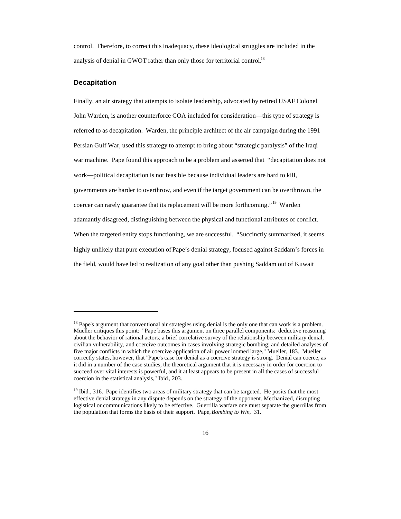control. Therefore, to correct this inadequacy, these ideological struggles are included in the analysis of denial in GWOT rather than only those for territorial control.<sup>18</sup>

#### **Decapitation**

 $\overline{a}$ 

Finally, an air strategy that attempts to isolate leadership, advocated by retired USAF Colonel John Warden, is another counterforce COA included for consideration—this type of strategy is referred to as decapitation. Warden, the principle architect of the air campaign during the 1991 Persian Gulf War, used this strategy to attempt to bring about "strategic paralysis" of the Iraqi war machine. Pape found this approach to be a problem and asserted that "decapitation does not work—political decapitation is not feasible because individual leaders are hard to kill, governments are harder to overthrow, and even if the target government can be overthrown, the coercer can rarely guarantee that its replacement will be more forthcoming." <sup>19</sup> Warden adamantly disagreed, distinguishing between the physical and functional attributes of conflict. When the targeted entity stops functioning, we are successful. "Succinctly summarized, it seems highly unlikely that pure execution of Pape's denial strategy, focused against Saddam's forces in the field, would have led to realization of any goal other than pushing Saddam out of Kuwait

<sup>&</sup>lt;sup>18</sup> Pape's argument that conventional air strategies using denial is the only one that can work is a problem. Mueller critiques this point: "Pape bases this argument on three parallel components: deductive reasoning about the behavior of rational actors; a brief correlative survey of the relationship between military denial, civilian vulnerability, and coercive outcomes in cases involving strategic bombing; and detailed analyses of five major conflicts in which the coercive application of air power loomed large," Mueller, 183. Mueller correctly states, however, that "Pape's case for denial as a coercive strategy is strong. Denial can coerce, as it did in a number of the case studies, the theoretical argument that it is necessary in order for coercion to succeed over vital interests is powerful, and it at least appears to be present in all the cases of successful coercion in the statistical analysis," Ibid., 203.

<sup>&</sup>lt;sup>19</sup> Ibid., 316. Pape identifies two areas of military strategy that can be targeted. He posits that the most effective denial strategy in any dispute depends on the strategy of the opponent. Mechanized, disrupting logistical or communications likely to be effective. Guerrilla warfare one must separate the guerrillas from the population that forms the basis of their support. Pape, *Bombing to Win,* 31.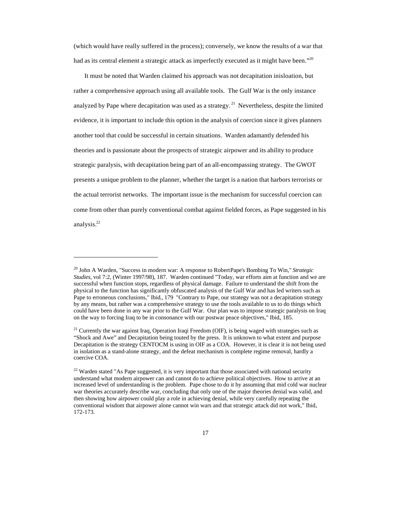(which would have really suffered in the process); conversely, we know the results of a war that had as its central element a strategic attack as imperfectly executed as it might have been." <sup>20</sup>

It must be noted that Warden claimed his approach was not decapitation in isloation, but rather a comprehensive approach using all available tools. The Gulf War is the only instance analyzed by Pape where decapitation was used as a strategy.<sup>21</sup> Nevertheless, despite the limited evidence, it is important to include this option in the analysis of coercion since it gives planners another tool that could be successful in certain situations. Warden adamantly defended his theories and is passionate about the prospects of strategic airpower and its ability to produce strategic paralysis, with decapitation being part of an all-encompassing strategy. The GWOT presents a unique problem to the planner, whether the target is a nation that harbors terrorists or the actual terrorist networks. The important issue is the mechanism for successful coercion can come from other than purely conventional combat against fielded forces, as Pape suggested in his analysis.<sup>22</sup>

<sup>20</sup> John A Warden, "Success in modern war: A response to Robert Pape's Bombing To Win," *Strategic Studies,* vol 7:2, (Winter 1997/98), 187. Warden continued "Today, war efforts aim at function and we are successful when function stops, regardless of physical damage. Failure to understand the shift from the physical to the function has significantly obfuscated analysis of the Gulf War and has led writers such as Pape to erroneous conclusions," Ibid., 179 "Contrary to Pape, our strategy was not a decapitation strategy by any means, but rather was a comprehensive strategy to use the tools available to us to do things which could have been done in any war prior to the Gulf War. Our plan was to impose strategic paralysis on Iraq on the way to forcing Iraq to be in consonance with our postwar peace objectives," Ibid., 185.

<sup>&</sup>lt;sup>21</sup> Currently the war against Iraq, Operation Iraqi Freedom (OIF), is being waged with strategies such as "Shock and Awe" and Decapitation being touted by the press. It is unknown to what extent and purpose Decapitation is the strategy CENTOCM is using in OIF as a COA. However, it is clear it is not being used in isolation as a stand-alone strategy, and the defeat mechanism is complete regime removal, hardly a coercive COA.

<sup>&</sup>lt;sup>22</sup> Warden stated "As Pape suggested, it is very important that those associated with national security understand what modern airpower can and cannot do to achieve political objectives. How to arrive at an increased level of understanding is the problem. Pape chose to do it by assuming that mid cold war nuclear war theories accurately describe war, concluding that only one of the major theories denial was valid, and then showing how airpower could play a role in achieving denial, while very carefully repeating the conventional wisdom that airpower alone cannot win wars and that strategic attack did not work," Ibid., 172-173.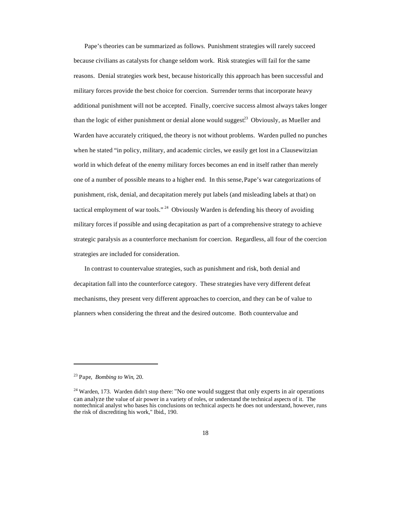Pape's theories can be summarized as follows. Punishment strategies will rarely succeed because civilians as catalysts for change seldom work. Risk strategies will fail for the same reasons. Denial strategies work best, because historically this approach has been successful and military forces provide the best choice for coercion. Surrender terms that incorporate heavy additional punishment will not be accepted. Finally, coercive success almost always takes longer than the logic of either punishment or denial alone would suggest.<sup>23</sup> Obviously, as Mueller and Warden have accurately critiqued, the theory is not without problems. Warden pulled no punches when he stated "in policy, military, and academic circles, we easily get lost in a Clausewitzian world in which defeat of the enemy military forces becomes an end in itself rather than merely one of a number of possible means to a higher end. In this sense, Pape's war categorizations of punishment, risk, denial, and decapitation merely put labels (and misleading labels at that) on tactical employment of war tools."<sup>24</sup> Obviously Warden is defending his theory of avoiding military forces if possible and using decapitation as part of a comprehensive strategy to achieve strategic paralysis as a counterforce mechanism for coercion. Regardless, all four of the coercion strategies are included for consideration.

In contrast to countervalue strategies, such as punishment and risk, both denial and decapitation fall into the counterforce category. These strategies have very different defeat mechanisms, they present very different approaches to coercion, and they can be of value to planners when considering the threat and the desired outcome. Both countervalue and

<sup>23</sup> Pape, *Bombing to Win*, 20.

<sup>&</sup>lt;sup>24</sup> Warden, 173. Warden didn't stop there: "No one would suggest that only experts in air operations can analyze the value of air power in a variety of roles, or understand the technical aspects of it. The nontechnical analyst who bases his conclusions on technical aspects he does not understand, however, runs the risk of discrediting his work," Ibid., 190.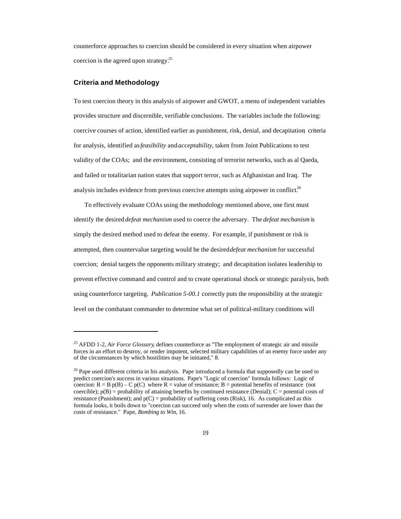counterforce approaches to coercion should be considered in every situation when airpower coercion is the agreed upon strategy.<sup>25</sup>

#### **Criteria and Methodology**

 $\overline{a}$ 

To test coercion theory in this analysis of airpower and GWOT, a menu of independent variables provides structure and discernible, verifiable conclusions. The variables include the following: coercive courses of action, identified earlier as punishment, risk, denial, and decapitation; criteria for analysis, identified as *feasibility* and *acceptability*, taken from Joint Publications to test validity of the COAs; and the environment, consisting of terrorist networks, such as al Qaeda, and failed or totalitarian nation states that support terror, such as Afghanistan and Iraq. The analysis includes evidence from previous coercive attempts using airpower in conflict.<sup>26</sup>

To effectively evaluate COAs using the methodology mentioned above, one first must identify the desired *defeat mechanism* used to coerce the adversary. The *defeat mechanism* is simply the desired method used to defeat the enemy. For example, if punishment or risk is attempted, then countervalue targeting would be the desired *defeat mechanism* for successful coercion; denial targets the opponents military strategy; and decapitation isolates leadership to prevent effective command and control and to create operational shock or strategic paralysis, both using counterforce targeting. *Publication 5-00.1* correctly puts the responsibility at the strategic level on the combatant commander to determine what set of political-military conditions will

<sup>25</sup> AFDD 1-2, *Air Force Glossary*, defines counterforce as "The employment of strategic air and missile forces in an effort to destroy, or render impotent, selected military capabilities of an enemy force under any of the circumstances by which hostilities may be initiated," 8.

<sup>&</sup>lt;sup>26</sup> Pape used different criteria in his analysis. Pape introduced a formula that supposedly can be used to predict coercion's success in various situations. Pape's "Logic of coercion" formula follows: Logic of coercion:  $R = B p(B) - C p(C)$  where  $R =$  value of resistance; B = potential benefits of resistance (not coercible);  $p(B)$  = probability of attaining benefits by continued resistance (Denial); C = potential costs of resistance (Punishment); and  $p(C)$  = probability of suffering costs (Risk), 16. As complicated as this formula looks, it boils down to "coercion can succeed only when the costs of surrender are lower than the costs of resistance." Pape, *Bombing to Win*, 16.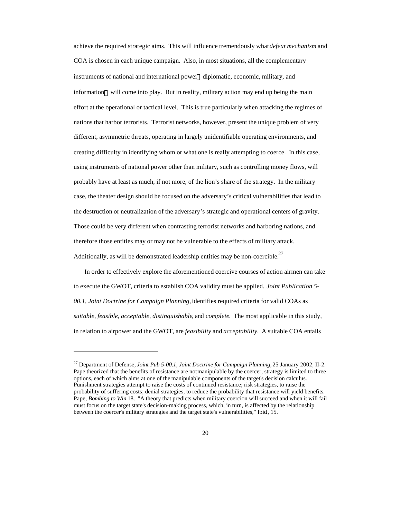achieve the required strategic aims. This will influence tremendously what *defeat mechanism* and COA is chosen in each unique campaign. Also, in most situations, all the complementary instruments of national and international power—diplomatic, economic, military, and information—will come into play. But in reality, military action may end up being the main effort at the operational or tactical level. This is true particularly when attacking the regimes of nations that harbor terrorists. Terrorist networks, however, present the unique problem of very different, asymmetric threats, operating in largely unidentifiable operating environments, and creating difficulty in identifying whom or what one is really attempting to coerce. In this case, using instruments of national power other than military, such as controlling money flows, will probably have at least as much, if not more, of the lion's share of the strategy. In the military case, the theater design should be focused on the adversary's critical vulnerabilities that lead to the destruction or neutralization of the adversary's strategic and operational centers of gravity. Those could be very different when contrasting terrorist networks and harboring nations, and therefore those entities may or may not be vulnerable to the effects of military attack. Additionally, as will be demonstrated leadership entities may be non-coercible.<sup>27</sup>

In order to effectively explore the aforementioned coercive courses of action airmen can take to execute the GWOT, criteria to establish COA validity must be applied. *Joint Publication 5- 00.1, Joint Doctrine for Campaign Planning,* identifies required criteria for valid COAs as *suitable, feasible, acceptable, distinguishable*, and *complete.* The most applicable in this study, in relation to airpower and the GWOT, are *feasibility* and *acceptability.* A suitable COA entails

<sup>27</sup> Department of Defense, *Joint Pub 5-00.1, Joint Doctrine for Campaign Planning,* 25 January 2002, II-2. Pape theorized that the benefits of resistance are not manipulable by the coercer, strategy is limited to three options, each of which aims at one of the manipulable components of the target's decision calculus. Punishment strategies attempt to raise the costs of continued resistance; risk strategies, to raise the probability of suffering costs; denial strategies, to reduce the probability that resistance will yield benefits. Pape, *Bombing to Win* 18. "A theory that predicts when military coercion will succeed and when it will fail must focus on the target state's decision-making process, which, in turn, is affected by the relationship between the coercer's military strategies and the target state's vulnerabilities," Ibid., 15.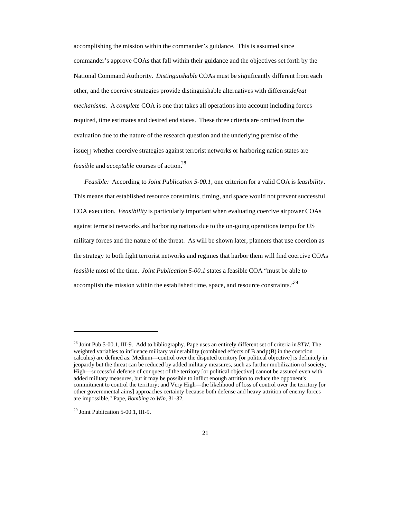accomplishing the mission within the commander's guidance. This is assumed since commander's approve COAs that fall within their guidance and the objectives set forth by the National Command Authority. *Distinguishable* COAs must be significantly different from each other, and the coercive strategies provide distinguishable alternatives with different *defeat mechanisms*. A *complete* COA is one that takes all operations into account including forces required, time estimates and desired end states. These three criteria are omitted from the evaluation due to the nature of the research question and the underlying premise of the issue—whether coercive strategies against terrorist networks or harboring nation states are *feasible* and *acceptable* courses of action.<sup>28</sup>

*Feasible:* According to *Joint Publication 5-00.1*, one criterion for a valid COA is f*easibility*. This means that established resource constraints, timing, and space would not prevent successful COA execution. *Feasibility* is particularly important when evaluating coercive airpower COAs against terrorist networks and harboring nations due to the on-going operations tempo for US military forces and the nature of the threat. As will be shown later, planners that use coercion as the strategy to both fight terrorist networks and regimes that harbor them will find coercive COAs *feasible* most of the time. *Joint Publication 5-00.1* states a feasible COA "must be able to accomplish the mission within the established time, space, and resource constraints.<sup>29</sup>

<sup>28</sup> Joint Pub 5-00.1, III-9. Add to bibliography. Pape uses an entirely different set of criteria in *BTW*. The weighted variables to influence military vulnerability (combined effects of B and  $p(B)$  in the coercion calculus) are defined as: Medium—control over the disputed territory [or political objective] is definitely in jeopardy but the threat can be reduced by added military measures, such as further mobilization of society; High—successful defense of conquest of the territory [or political objective] cannot be assured even with added military measures, but it may be possible to inflict enough attrition to reduce the opponent's commitment to control the territory; and Very High—the likelihood of loss of control over the territory [or other governmental aims] approaches certainty because both defense and heavy attrition of enemy forces are impossible," Pape, *Bombing to Win*, 31-32.

<sup>29</sup> Joint Publication 5-00.1, III-9.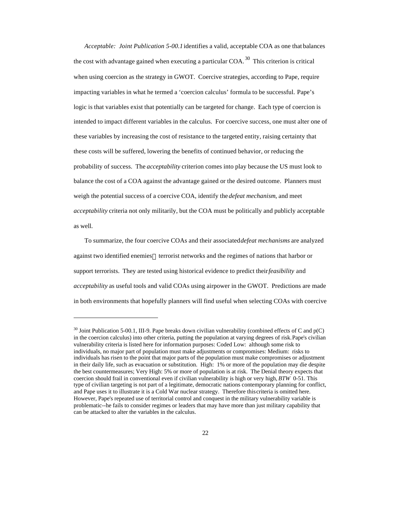*Acceptable: Joint Publication 5-00.1* identifies a valid, acceptable COA as one that balances the cost with advantage gained when executing a particular COA.<sup>30</sup> This criterion is critical when using coercion as the strategy in GWOT. Coercive strategies, according to Pape, require impacting variables in what he termed a 'coercion calculus' formula to be successful. Pape's logic is that variables exist that potentially can be targeted for change. Each type of coercion is intended to impact different variables in the calculus. For coercive success, one must alter one of these variables by increasing the cost of resistance to the targeted entity, raising certainty that these costs will be suffered, lowering the benefits of continued behavior, or reducing the probability of success. The *acceptability* criterion comes into play because the US must look to balance the cost of a COA against the advantage gained or the desired outcome. Planners must weigh the potential success of a coercive COA, identify the *defeat mechanism*, and meet *acceptability* criteria not only militarily, but the COA must be politically and publicly acceptable as well.

To summarize, the four coercive COAs and their associated *defeat mechanisms* are analyzed against two identified enemies—terrorist networks and the regimes of nations that harbor or support terrorists. They are tested using historical evidence to predict their *feasibility* and *acceptability* as useful tools and valid COAs using airpower in the GWOT. Predictions are made in both environments that hopefully planners will find useful when selecting COAs with coercive

 $30$  Joint Publication 5-00.1, III-9. Pape breaks down civilian vulnerability (combined effects of C and  $p(C)$ ) in the coercion calculus) into other criteria, putting the population at varying degrees of risk. Pape's civilian vulnerability criteria is listed here for information purposes: Coded Low: although some risk to individuals, no major part of population must make adjustments or compromises: Medium: risks to individuals has risen to the point that major parts of the population must make compromises or adjustment in their daily life, such as evacuation or substitution. High: 1% or more of the population may die despite the best countermeasures; Very High: 5% or more of population is at risk. The Denial theory expects that coercion should frail in conventional even if civilian vulnerability is high or very high, *BTW* 0-51. This type of civilian targeting is not part of a legitimate, democratic nations contemporary planning for conflict, and Pape uses it to illustrate it is a Cold War nuclear strategy. Therefore this criteria is omitted here. However, Pape's repeated use of territorial control and conquest in the military vulnerability variable is problematic--he fails to consider regimes or leaders that may have more than just military capability that can be attacked to alter the variables in the calculus.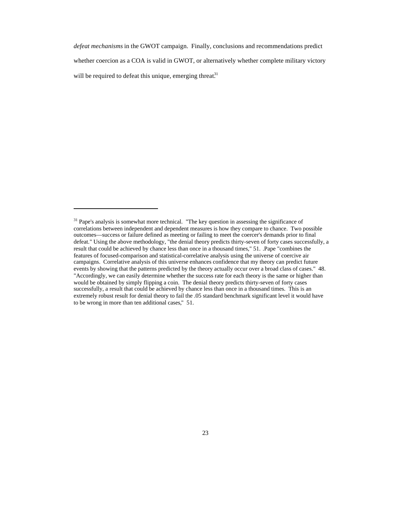*defeat mechanisms* in the GWOT campaign. Finally, conclusions and recommendations predict whether coercion as a COA is valid in GWOT, or alternatively whether complete military victory will be required to defeat this unique, emerging threat. $31$ 

<sup>&</sup>lt;sup>31</sup> Pape's analysis is somewhat more technical. "The key question in assessing the significance of correlations between independent and dependent measures is how they compare to chance. Two possible outcomes—success or failure defined as meeting or failing to meet the coercer's demands prior to final defeat." Using the above methodology, "the denial theory predicts thirty-seven of forty cases successfully, a result that could be achieved by chance less than once in a thousand times," 51. .Pape "combines the features of focused-comparison and statistical-correlative analysis using the universe of coercive air campaigns. Correlative analysis of this universe enhances confidence that my theory can predict future events by showing that the patterns predicted by the theory actually occur over a broad class of cases." 48. "Accordingly, we can easily determine whether the success rate for each theory is the same or higher than would be obtained by simply flipping a coin. The denial theory predicts thirty-seven of forty cases successfully, a result that could be achieved by chance less than once in a thousand times. This is an extremely robust result for denial theory to fail the .05 standard benchmark significant level it would have to be wrong in more than ten additional cases," 51.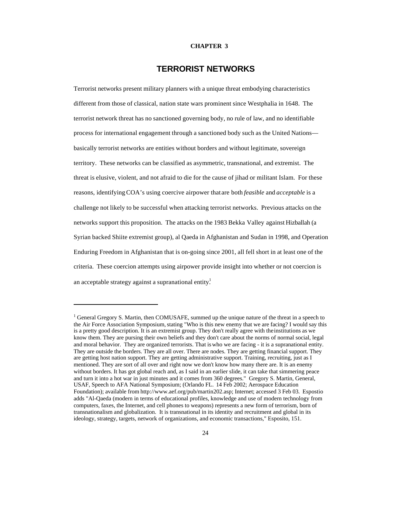#### **CHAPTER 3**

### **TERRORIST NETWORKS**

Terrorist networks present military planners with a unique threat embodying characteristics different from those of classical, nation state wars prominent since Westphalia in 1648. The terrorist network threat has no sanctioned governing body, no rule of law, and no identifiable process for international engagement through a sanctioned body such as the United Nations basically terrorist networks are entities without borders and without legitimate, sovereign territory. These networks can be classified as asymmetric, transnational, and extremist. The threat is elusive, violent, and not afraid to die for the cause of jihad or militant Islam. For these reasons, identifying COA's using coercive airpower that are both *feasible* and *acceptable* is a challenge not likely to be successful when attacking terrorist networks. Previous attacks on the networks support this proposition. The attacks on the 1983 Bekka Valley against Hizballah (a Syrian backed Shiite extremist group), al Qaeda in Afghanistan and Sudan in 1998, and Operation Enduring Freedom in Afghanistan that is on-going since 2001, all fell short in at least one of the criteria. These coercion attempts using airpower provide insight into whether or not coercion is an acceptable strategy against a supranational entity.

<sup>&</sup>lt;sup>1</sup> General Gregory S. Martin, then COMUSAFE, summed up the unique nature of the threat in a speech to the Air Force Association Symposium, stating "Who is this new enemy that we are facing? I would say this is a pretty good description. It is an extremist group. They don't really agree with the institutions as we know them. They are pursing their own beliefs and they don't care about the norms of normal social, legal and moral behavior. They are organized terrorists. That is who we are facing - it is a supranational entity. They are outside the borders. They are all over. There are nodes. They are getting financial support. They are getting host nation support. They are getting administrative support. Training, recruiting, just as I mentioned. They are sort of all over and right now we don't know how many there are. It is an enemy without borders. It has got global reach and, as I said in an earlier slide, it can take that simmering peace and turn it into a hot war in just minutes and it comes from 360 degrees." Gregory S. Martin, General, USAF, Speech to AFA National Symposium; (Orlando FL. 14 Feb 2002; Aerospace Education Foundation); available from http://www.aef.org/pub/martin202.asp; Internet; accessed 3 Feb 03. Espostio adds "Al-Qaeda (modern in terms of educational profiles, knowledge and use of modern technology from computers, faxes, the Internet, and cell phones to weapons) represents a new form of terrorism, born of transnationalism and globalization. It is transnational in its identity and recruitment and global in its ideology, strategy, targets, network of organizations, and economic transactions," Esposito, 151.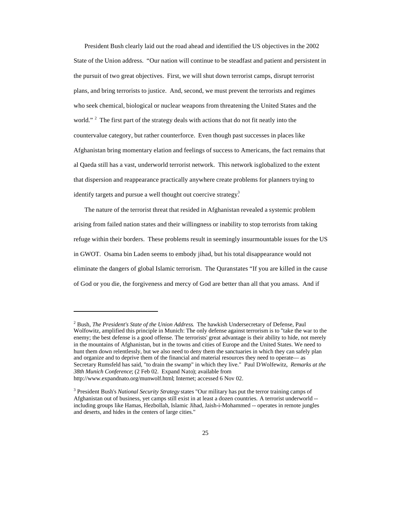President Bush clearly laid out the road ahead and identified the US objectives in the 2002 State of the Union address. "Our nation will continue to be steadfast and patient and persistent in the pursuit of two great objectives. First, we will shut down terrorist camps, disrupt terrorist plans, and bring terrorists to justice. And, second, we must prevent the terrorists and regimes who seek chemical, biological or nuclear weapons from threatening the United States and the world." <sup>2</sup> The first part of the strategy deals with actions that do not fit neatly into the countervalue category, but rather counterforce. Even though past successes in places like Afghanistan bring momentary elation and feelings of success to Americans, the fact remains that al Qaeda still has a vast, underworld terrorist network. This network is globalized to the extent that dispersion and reappearance practically anywhere create problems for planners trying to identify targets and pursue a well thought out coercive strategy.<sup>3</sup>

The nature of the terrorist threat that resided in Afghanistan revealed a systemic problem arising from failed nation states and their willingness or inability to stop terrorists from taking refuge within their borders. These problems result in seemingly insurmountable issues for the US in GWOT. Osama bin Laden seems to embody jihad, but his total disappearance would not eliminate the dangers of global Islamic terrorism. The Quran states "If you are killed in the cause of God or you die, the forgiveness and mercy of God are better than all that you amass. And if

<sup>2</sup> Bush, *The President's State of the Union Address*. The hawkish Undersecretary of Defense, Paul Wolfowitz, amplified this principle in Munich: The only defense against terrorism is to "take the war to the enemy; the best defense is a good offense. The terrorists' great advantage is their ability to hide, not merely in the mountains of Afghanistan, but in the towns and cities of Europe and the United States. We need to hunt them down relentlessly, but we also need to deny them the sanctuaries in which they can safely plan and organize and to deprive them of the financial and material resources they need to operate— as Secretary Rumsfeld has said, "to drain the swamp" in which they live." Paul D Wolfewitz*, Remarks at the 38th Munich Conference*; (2 Feb 02. Expand Nato); available from http://www.expandnato.org/munwolf.html; Internet; accessed 6 Nov 02.

<sup>3</sup> President Bush's *National Security Strategy* states "Our military has put the terror training camps of Afghanistan out of business, yet camps still exist in at least a dozen countries. A terrorist underworld - including groups like Hamas, Hezbollah, Islamic Jihad, Jaish-i-Mohammed -- operates in remote jungles and deserts, and hides in the centers of large cities."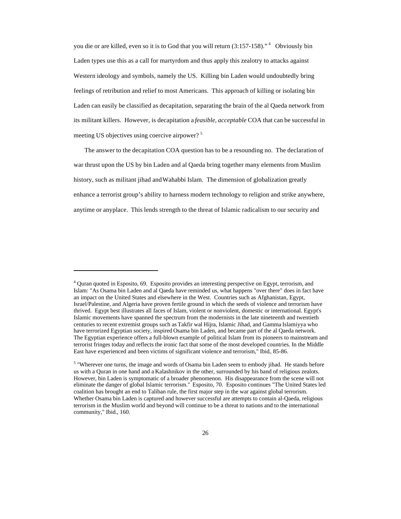you die or are killed, even so it is to God that you will return (3:157-158)."<sup>4</sup> Obviously bin Laden types use this as a call for martyrdom and thus apply this zealotry to attacks against Western ideology and symbols, namely the US. Killing bin Laden would undoubtedly bring feelings of retribution and relief to most Americans. This approach of killing or isolating bin Laden can easily be classified as decapitation, separating the brain of the al Qaeda network from its militant killers. However, is decapitation a *feasible*, *acceptable* COA that can be successful in meeting US objectives using coercive airpower? <sup>5</sup>

The answer to the decapitation COA question has to be a resounding no. The declaration of war thrust upon the US by bin Laden and al Qaeda bring together many elements from Muslim history, such as militant jihad and Wahabbi Islam. The dimension of globalization greatly enhance a terrorist group's ability to harness modern technology to religion and strike anywhere, anytime or anyplace. This lends strength to the threat of Islamic radicalism to our security and

<sup>4</sup> Quran quoted in Esposito, 69. Esposito provides an interesting perspective on Egypt, terrorism, and Islam: "As Osama bin Laden and al Qaeda have reminded us, what happens "over there" does in fact have an impact on the United States and elsewhere in the West. Countries such as Afghanistan, Egypt, Israel/Palestine, and Algeria have proven fertile ground in which the seeds of violence and terrorism have thrived. Egypt best illustrates all faces of Islam, violent or nonviolent, domestic or international. Egypt's Islamic movements have spanned the spectrum from the modernists in the late nineteenth and twentieth centuries to recent extremist groups such as Takfir wal Hijra, Islamic Jihad, and Gamma Islamiyya who have terrorized Egyptian society, inspired Osama bin Laden, and became part of the al Qaeda network. The Egyptian experience offers a full-blown example of political Islam from its pioneers to mainstream and terrorist fringes today and reflects the ironic fact that some of the most developed countries. In the Middle East have experienced and been victims of significant violence and terrorism," Ibid., 85-86.

<sup>&</sup>lt;sup>5</sup> "Wherever one turns, the image and words of Osama bin Laden seem to embody jihad. He stands before us with a Quran in one hand and a Kalashnikov in the other, surrounded by his band of religious zealots. However, bin Laden is symptomatic of a broader phenomenon. His disappearance from the scene will not eliminate the danger of global Islamic terrorism." Esposito, 70. Esposito continues "The United States led coalition has brought an end to Taliban rule, the first major step in the war against global terrorism. Whether Osama bin Laden is captured and however successful are attempts to contain al-Qaeda, religious terrorism in the Muslim world and beyond will continue to be a threat to nations and to the international community," Ibid., 160.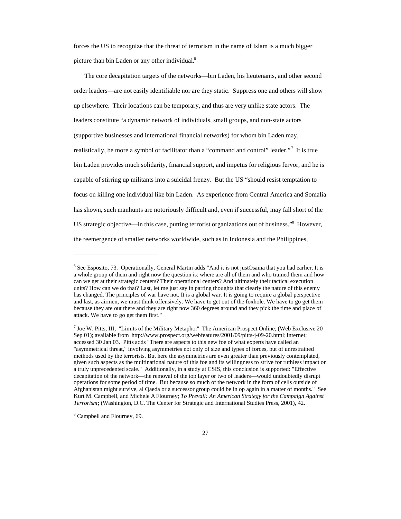forces the US to recognize that the threat of terrorism in the name of Islam is a much bigger picture than bin Laden or any other individual.<sup>6</sup>

The core decapitation targets of the networks—bin Laden, his lieutenants, and other second order leaders—are not easily identifiable nor are they static. Suppress one and others will show up elsewhere. Their locations can be temporary, and thus are very unlike state actors. The leaders constitute "a dynamic network of individuals, small groups, and non-state actors (supportive businesses and international financial networks) for whom bin Laden may, realistically, be more a symbol or facilitator than a "command and control" leader."<sup>7</sup> It is true bin Laden provides much solidarity, financial support, and impetus for religious fervor, and he is capable of stirring up militants into a suicidal frenzy. But the US "should resist temptation to focus on killing one individual like bin Laden. As experience from Central America and Somalia has shown, such manhunts are notoriously difficult and, even if successful, may fall short of the US strategic objective—in this case, putting terrorist organizations out of business."<sup>8</sup> However, the reemergence of smaller networks worldwide, such as in Indonesia and the Philippines,

<sup>&</sup>lt;sup>6</sup> See Esposito, 73. Operationally, General Martin adds "And it is not just Osama that you had earlier. It is a whole group of them and right now the question is: where are all of them and who trained them and how can we get at their strategic centers? Their operational centers? And ultimately their tactical execution units? How can we do that? Last, let me just say in parting thoughts that clearly the nature of this enemy has changed. The principles of war have not. It is a global war. It is going to require a global perspective and last, as airmen, we must think offensively. We have to get out of the foxhole. We have to go get them because they are out there and they are right now 360 degrees around and they pick the time and place of attack. We have to go get them first."

<sup>7</sup> Joe W. Pitts, III; "Limits of the Military Metaphor" The American Prospect Online; (Web Exclusive 20 Sep 01); available from http://www.prospect.org/webfeatures/2001/09/pitts-j-09-20.html; Internet; accessed 30 Jan 03. Pitts adds "There are aspects to this new foe of what experts have called an "asymmetrical threat," involving asymmetries not only of size and types of forces, but of unrestrained methods used by the terrorists. But here the asymmetries are even greater than previously contemplated, given such aspects as the multinational nature of this foe and its willingness to strive for ruthless impact on a truly unprecedented scale." Additionally, in a study at CSIS, this conclusion is supported: "Effective decapitation of the network—the removal of the top layer or two of leaders—would undoubtedly disrupt operations for some period of time. But because so much of the network in the form of cells outside of Afghanistan might survive, al Qaeda or a successor group could be in op again in a matter of months." See Kurt M. Campbell, and Michele A Flourney; *To Prevail: An American Strategy for the Campaign Against Terrorism*; (Washington, D.C. The Center for Strategic and International Studies Press, 2001), 42.

<sup>&</sup>lt;sup>8</sup> Campbell and Flourney, 69.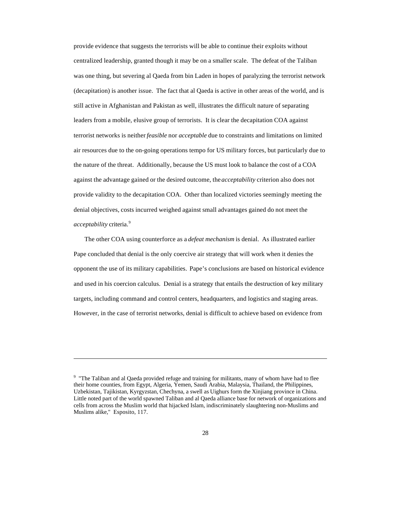provide evidence that suggests the terrorists will be able to continue their exploits without centralized leadership, granted though it may be on a smaller scale. The defeat of the Taliban was one thing, but severing al Qaeda from bin Laden in hopes of paralyzing the terrorist network (decapitation) is another issue. The fact that al Qaeda is active in other areas of the world, and is still active in Afghanistan and Pakistan as well, illustrates the difficult nature of separating leaders from a mobile, elusive group of terrorists. It is clear the decapitation COA against terrorist networks is neither *feasible* nor *acceptable* due to constraints and limitations on limited air resources due to the on-going operations tempo for US military forces, but particularly due to the nature of the threat. Additionally, because the US must look to balance the cost of a COA against the advantage gained or the desired outcome, the *acceptability* criterion also does not provide validity to the decapitation COA. Other than localized victories seemingly meeting the denial objectives, costs incurred weighed against small advantages gained do not meet the *acceptability* criteria.<sup>9</sup>

The other COA using counterforce as a *defeat mechanism* is denial. As illustrated earlier Pape concluded that denial is the only coercive air strategy that will work when it denies the opponent the use of its military capabilities. Pape's conclusions are based on historical evidence and used in his coercion calculus. Denial is a strategy that entails the destruction of key military targets, including command and control centers, headquarters, and logistics and staging areas. However, in the case of terrorist networks, denial is difficult to achieve based on evidence from

<sup>&</sup>lt;sup>9</sup> "The Taliban and al Qaeda provided refuge and training for militants, many of whom have had to flee their home counties, from Egypt, Algeria, Yemen, Saudi Arabia, Malaysia, Thailand, the Philippines, Uzbekistan, Tajikistan, Kyrgyzstan, Chechyna, a swell as Uighurs form the Xinjiang province in China. Little noted part of the world spawned Taliban and al Qaeda alliance base for network of organizations and cells from across the Muslim world that hijacked Islam, indiscriminately slaughtering non-Muslims and Muslims alike," Esposito, 117.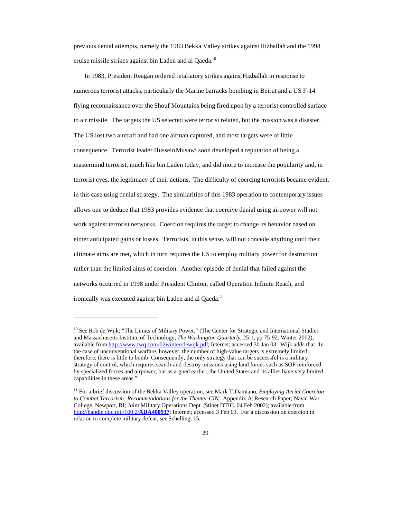previous denial attempts, namely the 1983 Bekka Valley strikes against Hizballah and the 1998 cruise missile strikes against bin Laden and al Qaeda.<sup>10</sup>

In 1983, President Reagan ordered retaliatory strikes against Hizballah in response to numerous terrorist attacks, particularly the Marine barracks bombing in Beirut and a US F-14 flying reconnaissance over the Shouf Mountains being fired upon by a terrorist controlled surface to air missile. The targets the US selected were terrorist related, but the mission was a disaster. The US lost two aircraft and had one airman captured, and most targets were of little consequence. Terrorist leader Hussein Musawi soon developed a reputation of being a mastermind terrorist, much like bin Laden today, and did more to increase the popularity and, in terrorist eyes, the legitimacy of their actions. The difficulty of coercing terrorists became evident, in this case using denial strategy. The similarities of this 1983 operation to contemporary issues allows one to deduce that 1983 provides evidence that coercive denial using airpower will not work against terrorist networks. Coercion requires the target to change its behavior based on either anticipated gains or losses. Terrorists, in this sense, will not concede anything until their ultimate aims are met, which in turn requires the US to employ military power for destruction rather than the limited aims of coercion. Another episode of denial that failed against the networks occurred in 1998 under President Clinton, called Operation Infinite Reach, and ironically was executed against bin Laden and al Qaeda.<sup>11</sup>

<sup>&</sup>lt;sup>10</sup> See Rob de Wijk; "The Limits of Military Power;" (The Center for Strategic and International Studies and Massachusetts Institute of Technology; *The Washington Quarterly*, 25:1, pp 75-92. Winter 2002); available from http://www.twq.com/02winter/dewijk.pdf; Internet; accessed 30 Jan 03. Wijk adds that "In the case of unconventional warfare, however, the number of high-value targets is extremely limited; therefore, there is little to bomb. Consequently, the only strategy that can be successful is a military strategy of control, which requires search-and-destroy missions using land forces such as SOF reinforced by specialized forces and airpower, but as argued earlier, the United States and its allies have very limited capabilities in these areas."

<sup>11</sup> For a brief discussion of the Bekka Valley operation, see Mark T. Damiano, *Employing Aerial Coercion to Combat Terrorism: Recommendations for the Theater CIN;*. Appendix A; Research Paper; Naval War College, Newport, RI; Joint Military Operations Dept. (Stinet DTIC. 04 Feb 2002); available from http://handle.dtic.mil/100.2/**ADA400937**; Internet; accessed 3 Feb 03. For a discussion on coercion in relation to complete military defeat, see Schelling, 15.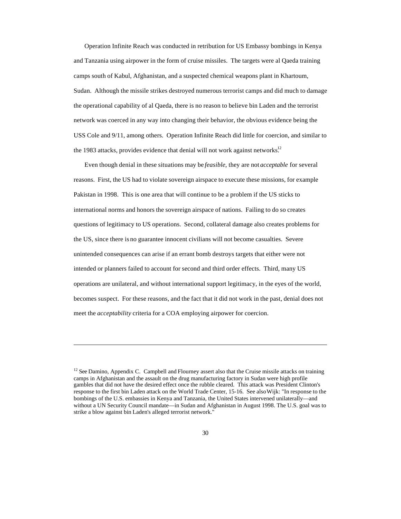Operation Infinite Reach was conducted in retribution for US Embassy bombings in Kenya and Tanzania using airpower in the form of cruise missiles. The targets were al Qaeda training camps south of Kabul, Afghanistan, and a suspected chemical weapons plant in Khartoum, Sudan. Although the missile strikes destroyed numerous terrorist camps and did much to damage the operational capability of al Qaeda, there is no reason to believe bin Laden and the terrorist network was coerced in any way into changing their behavior, the obvious evidence being the USS Cole and 9/11, among others. Operation Infinite Reach did little for coercion, and similar to the 1983 attacks, provides evidence that denial will not work against networks.<sup>12</sup>

Even though denial in these situations may be *feasible*, they are not *acceptable* for several reasons. First, the US had to violate sovereign airspace to execute these missions, for example Pakistan in 1998. This is one area that will continue to be a problem if the US sticks to international norms and honors the sovereign airspace of nations. Failing to do so creates questions of legitimacy to US operations. Second, collateral damage also creates problems for the US, since there is no guarantee innocent civilians will not become casualties. Severe unintended consequences can arise if an errant bomb destroys targets that either were not intended or planners failed to account for second and third order effects. Third, many US operations are unilateral, and without international support legitimacy, in the eyes of the world, becomes suspect. For these reasons, and the fact that it did not work in the past, denial does not meet the *acceptability* criteria for a COA employing airpower for coercion.

<sup>&</sup>lt;sup>12</sup> See Damino, Appendix C. Campbell and Flourney assert also that the Cruise missile attacks on training camps in Afghanistan and the assault on the drug manufacturing factory in Sudan were high profile gambles that did not have the desired effect once the rubble cleared. This attack was President Clinton's response to the first bin Laden attack on the World Trade Center, 15-16. See also Wijk: "In response to the bombings of the U.S. embassies in Kenya and Tanzania, the United States intervened unilaterally—and without a UN Security Council mandate—in Sudan and Afghanistan in August 1998. The U.S. goal was to strike a blow against bin Laden's alleged terrorist network."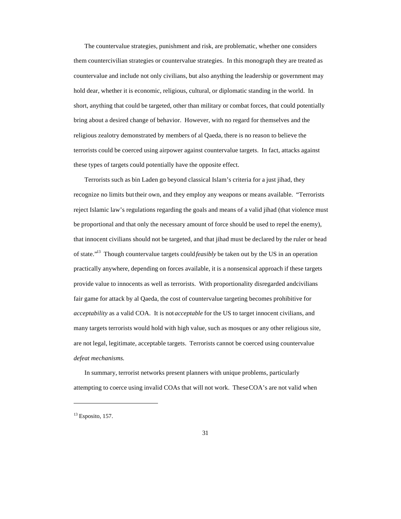The countervalue strategies, punishment and risk, are problematic, whether one considers them countercivilian strategies or countervalue strategies. In this monograph they are treated as countervalue and include not only civilians, but also anything the leadership or government may hold dear, whether it is economic, religious, cultural, or diplomatic standing in the world. In short, anything that could be targeted, other than military or combat forces, that could potentially bring about a desired change of behavior. However, with no regard for themselves and the religious zealotry demonstrated by members of al Qaeda, there is no reason to believe the terrorists could be coerced using airpower against countervalue targets. In fact, attacks against these types of targets could potentially have the opposite effect.

Terrorists such as bin Laden go beyond classical Islam's criteria for a just jihad, they recognize no limits but their own, and they employ any weapons or means available. "Terrorists reject Islamic law's regulations regarding the goals and means of a valid jihad (that violence must be proportional and that only the necessary amount of force should be used to repel the enemy), that innocent civilians should not be targeted, and that jihad must be declared by the ruler or head of state."<sup>13</sup> Though countervalue targets could *feasibly* be taken out by the US in an operation practically anywhere, depending on forces available, it is a nonsensical approach if these targets provide value to innocents as well as terrorists. With proportionality disregarded and civilians fair game for attack by al Qaeda, the cost of countervalue targeting becomes prohibitive for *acceptability* as a valid COA. It is not *acceptable* for the US to target innocent civilians, and many targets terrorists would hold with high value, such as mosques or any other religious site, are not legal, legitimate, acceptable targets. Terrorists cannot be coerced using countervalue *defeat mechanisms*.

In summary, terrorist networks present planners with unique problems, particularly attempting to coerce using invalid COAs that will not work. These COA's are not valid when

 $13$  Esposito, 157.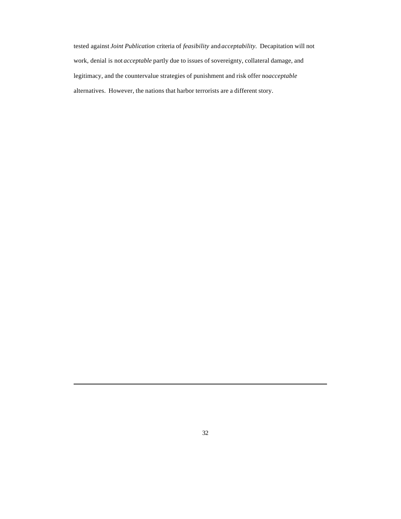tested against *Joint Publication* criteria of *feasibility* and *acceptability*. Decapitation will not work, denial is not *acceptable* partly due to issues of sovereignty, collateral damage, and legitimacy, and the countervalue strategies of punishment and risk offer noacceptable alternatives. However, the nations that harbor terrorists are a different story.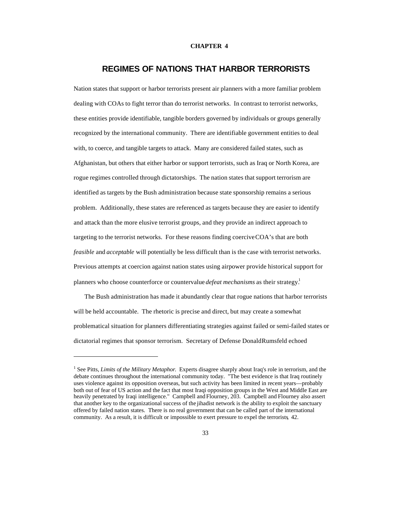#### **CHAPTER 4**

### **REGIMES OF NATIONS THAT HARBOR TERRORISTS**

Nation states that support or harbor terrorists present air planners with a more familiar problem dealing with COAs to fight terror than do terrorist networks. In contrast to terrorist networks, these entities provide identifiable, tangible borders governed by individuals or groups generally recognized by the international community. There are identifiable government entities to deal with, to coerce, and tangible targets to attack. Many are considered failed states, such as Afghanistan, but others that either harbor or support terrorists, such as Iraq or North Korea, are rogue regimes controlled through dictatorships. The nation states that support terrorism are identified as targets by the Bush administration because state sponsorship remains a serious problem. Additionally, these states are referenced as targets because they are easier to identify and attack than the more elusive terrorist groups, and they provide an indirect approach to targeting to the terrorist networks. For these reasons finding coercive COA's that are both *feasible* and *acceptable* will potentially be less difficult than is the case with terrorist networks. Previous attempts at coercion against nation states using airpower provide historical support for planners who choose counterforce or countervalue *defeat mechanisms* as their strategy.<sup>1</sup>

The Bush administration has made it abundantly clear that rogue nations that harbor terrorists will be held accountable. The rhetoric is precise and direct, but may create a somewhat problematical situation for planners differentiating strategies against failed or semi-failed states or dictatorial regimes that sponsor terrorism. Secretary of Defense Donald Rumsfeld echoed

<sup>&</sup>lt;sup>1</sup> See Pitts, *Limits of the Military Metaphor*. Experts disagree sharply about Iraq's role in terrorism, and the debate continues throughout the international community today. "The best evidence is that Iraq routinely uses violence against its opposition overseas, but such activity has been limited in recent years—probably both out of fear of US action and the fact that most Iraqi opposition groups in the West and Middle East are heavily penetrated by Iraqi intelligence." Campbell and Flourney, 203. Campbell and Flourney also assert that another key to the organizational success of the jihadist network is the ability to exploit the sanctuary offered by failed nation states. There is no real government that can be called part of the international community. As a result, it is difficult or impossible to exert pressure to expel the terrorists, 42.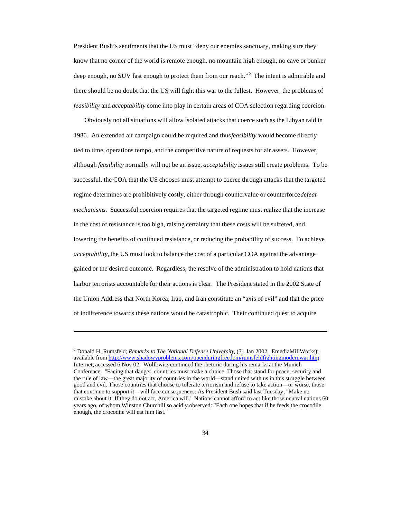President Bush's sentiments that the US must "deny our enemies sanctuary, making sure they know that no corner of the world is remote enough, no mountain high enough, no cave or bunker deep enough, no SUV fast enough to protect them from our reach."<sup>2</sup> The intent is admirable and there should be no doubt that the US will fight this war to the fullest. However, the problems of *feasibility* and *acceptability* come into play in certain areas of COA selection regarding coercion.

Obviously not all situations will allow isolated attacks that coerce such as the Libyan raid in 1986. An extended air campaign could be required and thus *feasibility* would become directly tied to time, operations tempo, and the competitive nature of requests for air assets. However, although *feasibility* normally will not be an issue, *acceptability* issues still create problems. To be successful, the COA that the US chooses must attempt to coerce through attacks that the targeted regime determines are prohibitively costly, either through countervalue or counterforce *defeat mechanisms*. Successful coercion requires that the targeted regime must realize that the increase in the cost of resistance is too high, raising certainty that these costs will be suffered, and lowering the benefits of continued resistance, or reducing the probability of success. To achieve *acceptability*, the US must look to balance the cost of a particular COA against the advantage gained or the desired outcome. Regardless, the resolve of the administration to hold nations that harbor terrorists accountable for their actions is clear. The President stated in the 2002 State of the Union Address that North Korea, Iraq, and Iran constitute an "axis of evil" and that the price of indifference towards these nations would be catastrophic. Their continued quest to acquire

<sup>2</sup> Donald H. Rumsfeld; *Remarks to The National Defense University*, (31 Jan 2002. EmediaMillWorks); available from http://www.shadowyproblems.com/openduringfreedom/rumsfeldfightingmodernwar.htm; Internet; accessed 6 Nov 02. Wolfowitz continued the rhetoric during his remarks at the Munich Conference: "Facing that danger, countries must make a choice. Those that stand for peace, security and the rule of law—the great majority of countries in the world—stand united with us in this struggle between good and evil. Those countries that choose to tolerate terrorism and refuse to take action—or worse, those that continue to support it—will face consequences. As President Bush said last Tuesday, "Make no mistake about it: If they do not act, America will." Nations cannot afford to act like those neutral nations 60 years ago, of whom Winston Churchill so acidly observed: "Each one hopes that if he feeds the crocodile enough, the crocodile will eat him last."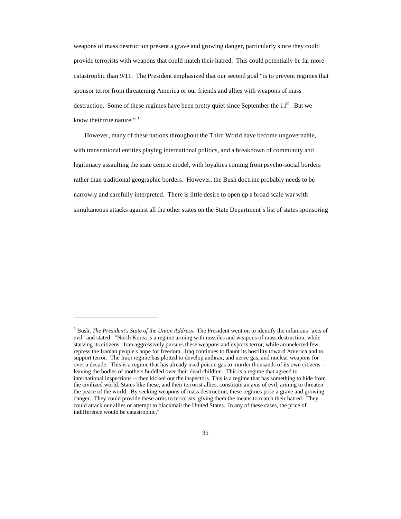weapons of mass destruction present a grave and growing danger, particularly since they could provide terrorists with weapons that could match their hatred. This could potentially be far more catastrophic than 9/11. The President emphasized that our second goal "is to prevent regimes that sponsor terror from threatening America or our friends and allies with weapons of mass destruction. Some of these regimes have been pretty quiet since September the  $11<sup>th</sup>$ . But we know their true nature."<sup>3</sup>

However, many of these nations throughout the Third World have become ungovernable, with transnational entities playing international politics, and a breakdown of community and legitimacy assaulting the state centric model, with loyalties coming from psycho-social borders rather than traditional geographic borders. However, the Bush doctrine probably needs to be narrowly and carefully interpreted. There is little desire to open up a broad scale war with simultaneous attacks against all the other states on the State Department's list of states sponsoring

<sup>3</sup> Bush, *The President's State of the Union Address*. The President went on to identify the infamous "axis of evil" and stated: "North Korea is a regime arming with missiles and weapons of mass destruction, while starving its citizens. Iran aggressively pursues these weapons and exports terror, while an unelected few repress the Iranian people's hope for freedom. Iraq continues to flaunt its hostility toward America and to support terror. The Iraqi regime has plotted to develop anthrax, and nerve gas, and nuclear weapons for over a decade. This is a regime that has already used poison gas to murder thousands of its own citizens - leaving the bodies of mothers huddled over their dead children. This is a regime that agreed to international inspections -- then kicked out the inspectors. This is a regime that has something to hide from the civilized world. States like these, and their terrorist allies, constitute an axis of evil, arming to threaten the peace of the world. By seeking weapons of mass destruction, these regimes pose a grave and growing danger. They could provide these arms to terrorists, giving them the means to match their hatred. They could attack our allies or attempt to blackmail the United States. In any of these cases, the price of indifference would be catastrophic."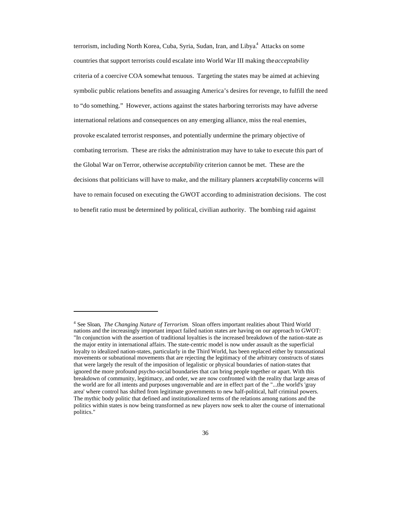terrorism, including North Korea, Cuba, Syria, Sudan, Iran, and Libya.<sup>4</sup> Attacks on some countries that support terrorists could escalate into World War III making the *acceptability* criteria of a coercive COA somewhat tenuous. Targeting the states may be aimed at achieving symbolic public relations benefits and assuaging America's desires for revenge, to fulfill the need to "do something." However, actions against the states harboring terrorists may have adverse international relations and consequences on any emerging alliance, miss the real enemies, provoke escalated terrorist responses, and potentially undermine the primary objective of combating terrorism. These are risks the administration may have to take to execute this part of the Global War on Terror, otherwise *acceptability* criterion cannot be met. These are the decisions that politicians will have to make, and the military planners a*cceptability* concerns will have to remain focused on executing the GWOT according to administration decisions. The cost to benefit ratio must be determined by political, civilian authority. The bombing raid against

<sup>4</sup> See Sloan, *The Changing Nature of Terrorism*. Sloan offers important realities about Third World nations and the increasingly important impact failed nation states are having on our approach to GWOT: "In conjunction with the assertion of traditional loyalties is the increased breakdown of the nation-state as the major entity in international affairs. The state-centric model is now under assault as the superficial loyalty to idealized nation-states, particularly in the Third World, has been replaced either by transnational movements or subnational movements that are rejecting the legitimacy of the arbitrary constructs of states that were largely the result of the imposition of legalistic or physical boundaries of nation-states that ignored the more profound psycho-social boundaries that can bring people together or apart. With this breakdown of community, legitimacy, and order, we are now confronted with the reality that large areas of the world are for all intents and purposes ungovernable and are in effect part of the "...the world's 'gray area' where control has shifted from legitimate governments to new half-political, half criminal powers. The mythic body politic that defined and institutionalized terms of the relations among nations and the politics within states is now being transformed as new players now seek to alter the course of international politics."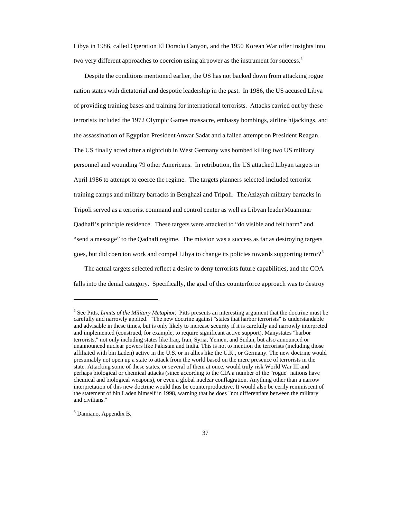Libya in 1986, called Operation El Dorado Canyon, and the 1950 Korean War offer insights into two very different approaches to coercion using airpower as the instrument for success.<sup>5</sup>

Despite the conditions mentioned earlier, the US has not backed down from attacking rogue nation states with dictatorial and despotic leadership in the past. In 1986, the US accused Libya of providing training bases and training for international terrorists. Attacks carried out by these terrorists included the 1972 Olympic Games massacre, embassy bombings, airline hijackings, and the assassination of Egyptian President Anwar Sadat and a failed attempt on President Reagan. The US finally acted after a nightclub in West Germany was bombed killing two US military personnel and wounding 79 other Americans. In retribution, the US attacked Libyan targets in April 1986 to attempt to coerce the regime. The targets planners selected included terrorist training camps and military barracks in Benghazi and Tripoli. The Azizyah military barracks in Tripoli served as a terrorist command and control center as well as Libyan leader Muammar Qadhafi's principle residence. These targets were attacked to "do visible and felt harm" and "send a message" to the Qadhafi regime. The mission was a success as far as destroying targets goes, but did coercion work and compel Libya to change its policies towards supporting terror?<sup>6</sup>

The actual targets selected reflect a desire to deny terrorists future capabilities, and the COA falls into the denial category. Specifically, the goal of this counterforce approach was to destroy

<sup>5</sup> See Pitts, *Limits of the Military Metaphor*. Pitts presents an interesting argument that the doctrine must be carefully and narrowly applied. "The new doctrine against "states that harbor terrorists" is understandable and advisable in these times, but is only likely to increase security if it is carefully and narrowly interpreted and implemented (construed, for example, to require significant active support). Many states "harbor terrorists," not only including states like Iraq, Iran, Syria, Yemen, and Sudan, but also announced or unannounced nuclear powers like Pakistan and India. This is not to mention the terrorists (including those affiliated with bin Laden) active in the U.S. or in allies like the U.K., or Germany. The new doctrine would presumably not open up a state to attack from the world based on the mere presence of terrorists in the state. Attacking some of these states, or several of them at once, would truly risk World War III and perhaps biological or chemical attacks (since according to the CIA a number of the "rogue" nations have chemical and biological weapons), or even a global nuclear conflagration. Anything other than a narrow interpretation of this new doctrine would thus be counterproductive. It would also be eerily reminiscent of the statement of bin Laden himself in 1998, warning that he does "not differentiate between the military and civilians."

<sup>6</sup> Damiano, Appendix B.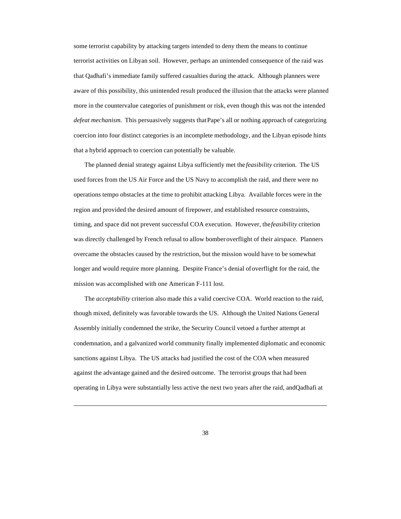some terrorist capability by attacking targets intended to deny them the means to continue terrorist activities on Libyan soil. However, perhaps an unintended consequence of the raid was that Qadhafi's immediate family suffered casualties during the attack. Although planners were aware of this possibility, this unintended result produced the illusion that the attacks were planned more in the countervalue categories of punishment or risk, even though this was not the intended *defeat mechanism*. This persuasively suggests that Pape's all or nothing approach of categorizing coercion into four distinct categories is an incomplete methodology, and the Libyan episode hints that a hybrid approach to coercion can potentially be valuable.

The planned denial strategy against Libya sufficiently met the *feasibility* criterion. The US used forces from the US Air Force and the US Navy to accomplish the raid, and there were no operations tempo obstacles at the time to prohibit attacking Libya. Available forces were in the region and provided the desired amount of firepower, and established resource constraints, timing, and space did not prevent successful COA execution. However, the *feasibility* criterion was directly challenged by French refusal to allow bomber overflight of their airspace. Planners overcame the obstacles caused by the restriction, but the mission would have to be somewhat longer and would require more planning. Despite France's denial of overflight for the raid, the mission was accomplished with one American F-111 lost.

The *acceptability* criterion also made this a valid coercive COA. World reaction to the raid, though mixed, definitely was favorable towards the US. Although the United Nations General Assembly initially condemned the strike, the Security Council vetoed a further attempt at condemnation, and a galvanized world community finally implemented diplomatic and economic sanctions against Libya. The US attacks had justified the cost of the COA when measured against the advantage gained and the desired outcome. The terrorist groups that had been operating in Libya were substantially less active the next two years after the raid, and Qadhafi at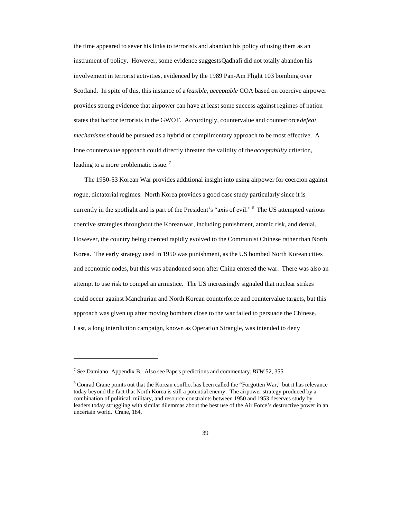the time appeared to sever his links to terrorists and abandon his policy of using them as an instrument of policy. However, some evidence suggests Qadhafi did not totally abandon his involvement in terrorist activities, evidenced by the 1989 Pan-Am Flight 103 bombing over Scotland. In spite of this, this instance of a *feasible, acceptable* COA based on coercive airpower provides strong evidence that airpower can have at least some success against regimes of nation states that harbor terrorists in the GWOT. Accordingly, countervalue and counterforce *defeat mechanisms* should be pursued as a hybrid or complimentary approach to be most effective. A lone countervalue approach could directly threaten the validity of the *acceptability* criterion, leading to a more problematic issue.<sup>7</sup>

The 1950-53 Korean War provides additional insight into using airpower for coercion against rogue, dictatorial regimes. North Korea provides a good case study particularly since it is currently in the spotlight and is part of the President's "axis of evil."<sup>8</sup> The US attempted various coercive strategies throughout the Korean war, including punishment, atomic risk, and denial. However, the country being coerced rapidly evolved to the Communist Chinese rather than North Korea. The early strategy used in 1950 was punishment, as the US bombed North Korean cities and economic nodes, but this was abandoned soon after China entered the war. There was also an attempt to use risk to compel an armistice. The US increasingly signaled that nuclear strikes could occur against Manchurian and North Korean counterforce and countervalue targets, but this approach was given up after moving bombers close to the war failed to persuade the Chinese. Last, a long interdiction campaign, known as Operation Strangle, was intended to deny

<sup>7</sup> See Damiano, Appendix B. Also see Pape's predictions and commentary, *BTW* 52, 355.

<sup>&</sup>lt;sup>8</sup> Conrad Crane points out that the Korean conflict has been called the "Forgotten War," but it has relevance today beyond the fact that North Korea is still a potential enemy. The airpower strategy produced by a combination of political, military, and resource constraints between 1950 and 1953 deserves study by leaders today struggling with similar dilemmas about the best use of the Air Force's destructive power in an uncertain world. Crane, 184.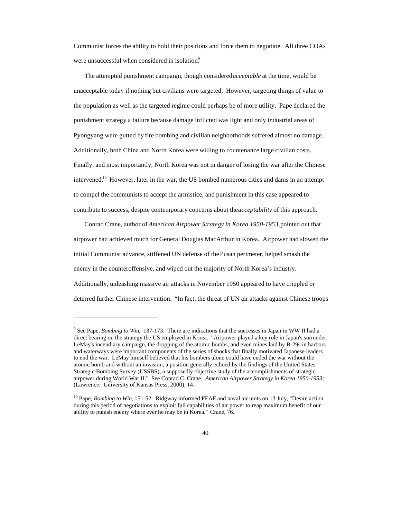Communist forces the ability to hold their positions and force them to negotiate. All three COAs were unsuccessful when considered in isolation.<sup>9</sup>

The attempted punishment campaign, though considered *acceptable* at the time, would be unacceptable today if nothing but civilians were targeted. However, targeting things of value to the population as well as the targeted regime could perhaps be of more utility. Pape declared the punishment strategy a failure because damage inflicted was light and only industrial areas of Pyongyang were gutted by fire bombing and civilian neighborhoods suffered almost no damage. Additionally, both China and North Korea were willing to countenance large civilian costs. Finally, and most importantly, North Korea was not in danger of losing the war after the Chinese intervened.<sup>10</sup> However, later in the war, the US bombed numerous cities and dams in an attempt to compel the communists to accept the armistice, and punishment in this case appeared to contribute to success, despite contemporary concerns about the *acceptability* of this approach.

Conrad Crane, author of *American Airpower Strategy in Korea 1950-1953,* pointed out that airpower had achieved much for General Douglas MacArthur in Korea. Airpower had slowed the initial Communist advance, stiffened UN defense of the Pusan perimeter, helped smash the enemy in the counteroffensive, and wiped out the majority of North Korea's industry. Additionally, unleashing massive air attacks in November 1950 appeared to have crippled or deterred further Chinese intervention. "In fact, the threat of UN air attacks against Chinese troops

<sup>9</sup> See Pape, *Bombing to Win,* 137-173. There are indications that the successes in Japan in WW II had a direct bearing on the strategy the US employed in Korea. "Airpower played a key role in Japan's surrender. LeMay's incendiary campaign, the dropping of the atomic bombs, and even mines laid by B-29s in harbors and waterways were important components of the series of shocks that finally motivated Japanese leaders to end the war. LeMay himself believed that his bombers alone could have ended the war without the atomic bomb and without an invasion, a position generally echoed by the findings of the United States Strategic Bombing Survey (USSBS), a supposedly objective study of the accomplishments of strategic airpower during World War II." See Conrad C. Crane, *American Airpower Strategy in Korea 1950-1953;* (Lawrence: University of Kansas Press, 2000), 14.

<sup>&</sup>lt;sup>10</sup> Pape, *Bombing to Win*, 151-52. Ridgway informed FEAF and naval air units on 13 July, "Desire action during this period of negotiations to exploit full capabilities of air power to reap maximum benefit of our ability to punish enemy where ever he may be in Korea." Crane, 76.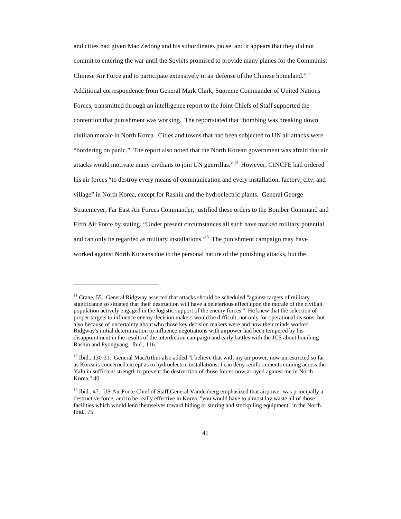and cities had given Mao Zedong and his subordinates pause, and it appears that they did not commit to entering the war until the Soviets promised to provide many planes for the Communist Chinese Air Force and to participate extensively in air defense of the Chinese homeland." <sup>11</sup> Additional correspondence from General Mark Clark, Supreme Commander of United Nations Forces, transmitted through an intelligence report to the Joint Chiefs of Staff supported the contention that punishment was working. The report stated that "bombing was breaking down civilian morale in North Korea. Cities and towns that had been subjected to UN air attacks were "bordering on panic." The report also noted that the North Korean government was afraid that air attacks would motivate many civilians to join UN guerrillas." <sup>12</sup> However, CINCFE had ordered his air forces "to destroy every means of communication and every installation, factory, city, and village" in North Korea, except for Rashin and the hydroelectric plants. General George Stratemeyer, Far East Air Forces Commander, justified these orders to the Bomber Command and Fifth Air Force by stating, "Under present circumstances all such have marked military potential and can only be regarded as military installations.<sup>\*\*</sup> The punishment campaign may have worked against North Koreans due to the personal nature of the punishing attacks, but the

 $<sup>11</sup>$  Crane, 55. General Ridgway asserted that attacks should be scheduled "against targets of military</sup> significance so situated that their destruction will have a deleterious effect upon the morale of the civilian population actively engaged in the logistic support of the enemy forces." He knew that the selection of proper targets to influence enemy decision makers would be difficult, not only for operational reasons, but also because of uncertainty about who those key decision makers were and how their minds worked. Ridgway's initial determination to influence negotiations with airpower had been tempered by his disappointment in the results of the interdiction campaign and early battles with the JCS about bombing Rashin and Pyongyang. Ibid., 116.

<sup>&</sup>lt;sup>12</sup> Ibid., 130-31. General MacArthur also added "I believe that with my air power, now unrestricted so far as Korea is concerned except as to hydroelectric installations, I can deny reinforcements coming across the Yalu in sufficient strength to prevent the destruction of those forces now arrayed against me in North Korea," 40.

<sup>&</sup>lt;sup>13</sup> Ibid., 47. US Air Force Chief of Staff General Vandenberg emphasized that airpower was principally a destructive force, and to be really effective in Korea, "you would have to almost lay waste all of those facilities which would lend themselves toward hiding or storing and stockpiling equipment" in the North. Ibid., 75.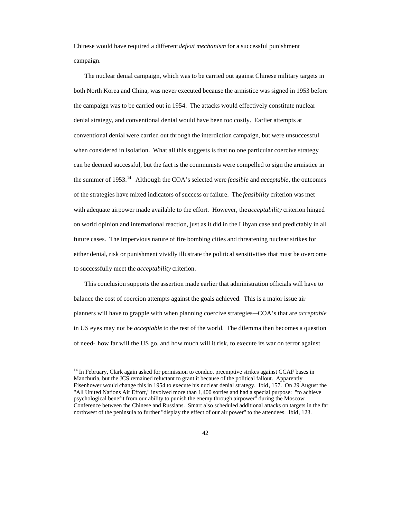Chinese would have required a different *defeat mechanism* for a successful punishment campaign.

The nuclear denial campaign, which was to be carried out against Chinese military targets in both North Korea and China, was never executed because the armistice was signed in 1953 before the campaign was to be carried out in 1954. The attacks would effectively constitute nuclear denial strategy, and conventional denial would have been too costly. Earlier attempts at conventional denial were carried out through the interdiction campaign, but were unsuccessful when considered in isolation. What all this suggests is that no one particular coercive strategy can be deemed successful, but the fact is the communists were compelled to sign the armistice in the summer of 1953.<sup>14</sup> Although the COA's selected were *feasible* and *acceptable*, the outcomes of the strategies have mixed indicators of success or failure. The *feasibility* criterion was met with adequate airpower made available to the effort. However, the *acceptability* criterion hinged on world opinion and international reaction, just as it did in the Libyan case and predictably in all future cases. The impervious nature of fire bombing cities and threatening nuclear strikes for either denial, risk or punishment vividly illustrate the political sensitivities that must be overcome to successfully meet the *acceptability* criterion.

This conclusion supports the assertion made earlier that administration officials will have to balance the cost of coercion attempts against the goals achieved. This is a major issue air planners will have to grapple with when planning coercive strategies—COA's that are *acceptable* in US eyes may not be *acceptable* to the rest of the world. The dilemma then becomes a question of need- how far will the US go, and how much will it risk, to execute its war on terror against

<sup>&</sup>lt;sup>14</sup> In February, Clark again asked for permission to conduct preemptive strikes against CCAF bases in Manchuria, but the JCS remained reluctant to grant it because of the political fallout. Apparently Eisenhower would change this in 1954 to execute his nuclear denial strategy. Ibid., 157. On 29 August the "All United Nations Air Effort," involved more than 1,400 sorties and had a special purpose: "to achieve psychological benefit from our ability to punish the enemy through airpower" during the Moscow Conference between the Chinese and Russians. Smart also scheduled additional attacks on targets in the far northwest of the peninsula to further "display the effect of our air power" to the attendees. Ibid., 123.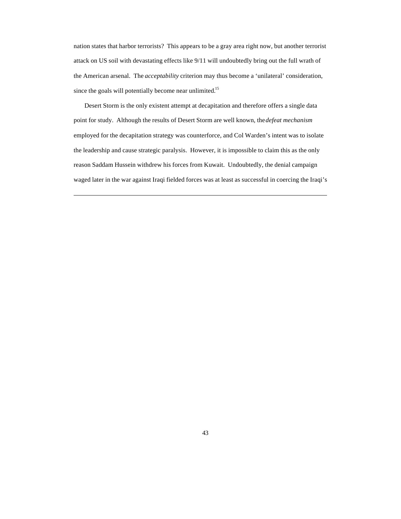nation states that harbor terrorists? This appears to be a gray area right now, but another terrorist attack on US soil with devastating effects like 9/11 will undoubtedly bring out the full wrath of the American arsenal. The *acceptability* criterion may thus become a 'unilateral' consideration, since the goals will potentially become near unlimited.<sup>15</sup>

Desert Storm is the only existent attempt at decapitation and therefore offers a single data point for study. Although the results of Desert Storm are well known, the *defeat mechanism* employed for the decapitation strategy was counterforce, and Col Warden's intent was to isolate the leadership and cause strategic paralysis. However, it is impossible to claim this as the only reason Saddam Hussein withdrew his forces from Kuwait. Undoubtedly, the denial campaign waged later in the war against Iraqi fielded forces was at least as successful in coercing the Iraqi's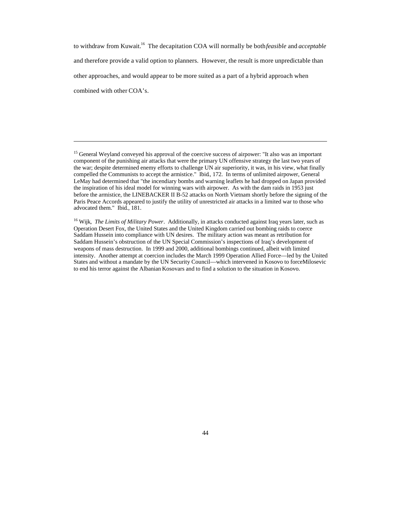to withdraw from Kuwait.<sup>16</sup> The decapitation COA will normally be both *feasible* and *acceptable* and therefore provide a valid option to planners. However, the result is more unpredictable than other approaches, and would appear to be more suited as a part of a hybrid approach when combined with other COA's.

<sup>&</sup>lt;sup>15</sup> General Weyland conveyed his approval of the coercive success of airpower: "It also was an important component of the punishing air attacks that were the primary UN offensive strategy the last two years of the war; despite determined enemy efforts to challenge UN air superiority, it was, in his view, what finally compelled the Communists to accept the armistice." Ibid., 172. In terms of unlimited airpower, General LeMay had determined that "the incendiary bombs and warning leaflets he had dropped on Japan provided the inspiration of his ideal model for winning wars with airpower. As with the dam raids in 1953 just before the armistice, the LINEBACKER II B-52 attacks on North Vietnam shortly before the signing of the Paris Peace Accords appeared to justify the utility of unrestricted air attacks in a limited war to those who advocated them." Ibid., 181.

<sup>&</sup>lt;sup>16</sup> Wijk, *The Limits of Military Power*. Additionally, in attacks conducted against Iraq years later, such as Operation Desert Fox, the United States and the United Kingdom carried out bombing raids to coerce Saddam Hussein into compliance with UN desires. The military action was meant as retribution for Saddam Hussein's obstruction of the UN Special Commission's inspections of Iraq's development of weapons of mass destruction. In 1999 and 2000, additional bombings continued, albeit with limited intensity. Another attempt at coercion includes the March 1999 Operation Allied Force—led by the United States and without a mandate by the UN Security Council—which intervened in Kosovo to force Milosevic to end his terror against the Albanian Kosovars and to find a solution to the situation in Kosovo.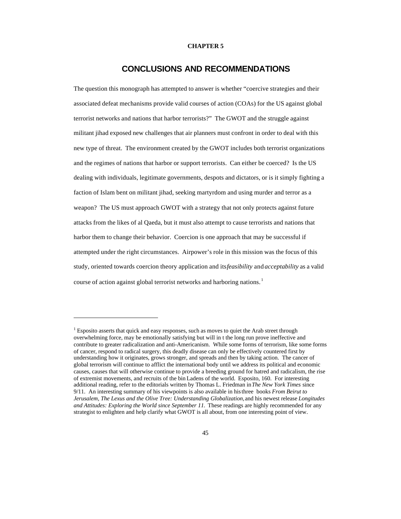#### **CHAPTER 5**

### **CONCLUSIONS AND RECOMMENDATIONS**

The question this monograph has attempted to answer is whether "coercive strategies and their associated defeat mechanisms provide valid courses of action (COAs) for the US against global terrorist networks and nations that harbor terrorists?" The GWOT and the struggle against militant jihad exposed new challenges that air planners must confront in order to deal with this new type of threat. The environment created by the GWOT includes both terrorist organizations and the regimes of nations that harbor or support terrorists. Can either be coerced? Is the US dealing with individuals, legitimate governments, despots and dictators, or is it simply fighting a faction of Islam bent on militant jihad, seeking martyrdom and using murder and terror as a weapon? The US must approach GWOT with a strategy that not only protects against future attacks from the likes of al Qaeda, but it must also attempt to cause terrorists and nations that harbor them to change their behavior. Coercion is one approach that may be successful if attempted under the right circumstances. Airpower's role in this mission was the focus of this study, oriented towards coercion theory application and its *feasibility* and *acceptability* as a valid course of action against global terrorist networks and harboring nations.<sup>1</sup>

 $1$  Esposito asserts that quick and easy responses, such as moves to quiet the Arab street through overwhelming force, may be emotionally satisfying but will in t the long run prove ineffective and contribute to greater radicalization and anti-Americanism. While some forms of terrorism, like some forms of cancer, respond to radical surgery, this deadly disease can only be effectively countered first by understanding how it originates, grows stronger, and spreads and then by taking action. The cancer of global terrorism will continue to afflict the international body until we address its political and economic causes, causes that will otherwise continue to provide a breeding ground for hatred and radicalism, the rise of extremist movements, and recruits of the bin Ladens of the world. Esposito, 160. For interesting additional reading, refer to the editorials written by Thomas L. Friedman in *The New York Times* since 9/11. An interesting summary of his viewpoints is also available in his three books *From Beirut to Jerusalem, The Lexus and the Olive Tree: Understanding Globalization,* and his newest release *Longitudes and Attitudes: Exploring the World since September 11.* These readings are highly recommended for any strategist to enlighten and help clarify what GWOT is all about, from one interesting point of view.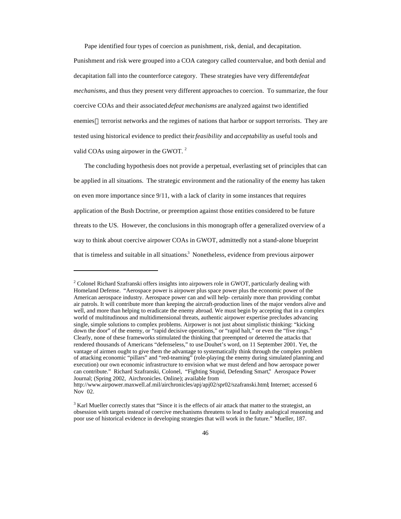Pape identified four types of coercion as punishment, risk, denial, and decapitation.

Punishment and risk were grouped into a COA category called countervalue, and both denial and decapitation fall into the counterforce category. These strategies have very different *defeat mechanisms*, and thus they present very different approaches to coercion. To summarize, the four coercive COAs and their associated *defeat mechanisms* are analyzed against two identified enemies—terrorist networks and the regimes of nations that harbor or support terrorists. They are tested using historical evidence to predict their *feasibility* and *acceptability* as useful tools and valid COAs using airpower in the GWOT.<sup>2</sup>

The concluding hypothesis does not provide a perpetual, everlasting set of principles that can be applied in all situations. The strategic environment and the rationality of the enemy has taken on even more importance since 9/11, with a lack of clarity in some instances that requires application of the Bush Doctrine, or preemption against those entities considered to be future threats to the US. However, the conclusions in this monograph offer a generalized overview of a way to think about coercive airpower COAs in GWOT, admittedly not a stand-alone blueprint that is timeless and suitable in all situations.<sup>3</sup> Nonetheless, evidence from previous airpower

<sup>&</sup>lt;sup>2</sup> Colonel Richard Szafranski offers insights into airpowers role in GWOT, particularly dealing with Homeland Defense. "Aerospace power is airpower plus space power plus the economic power of the American aerospace industry. Aerospace power can and will help- certainly more than providing combat air patrols. It will contribute more than keeping the aircraft-production lines of the major vendors alive and well, and more than helping to eradicate the enemy abroad. We must begin by accepting that in a complex world of multitudinous and multidimensional threats, authentic airpower expertise precludes advancing single, simple solutions to complex problems. Airpower is not just about simplistic thinking: "kicking down the door" of the enemy, or "rapid decisive operations," or "rapid halt," or even the "five rings." Clearly, none of these frameworks stimulated the thinking that preempted or deterred the attacks that rendered thousands of Americans "defenseless," to use Douhet's word, on 11 September 2001. Yet, the vantage of airmen ought to give them the advantage to systematically think through the complex problem of attacking economic "pillars" and "red-teaming" (role-playing the enemy during simulated planning and execution) our own economic infrastructure to envision what we must defend and how aerospace power can contribute." Richard Szafranski, Colonel, "Fighting Stupid, Defending Smart," Aerospace Power Journal; (Spring 2002, Airchronicles. Online); available from

http://www.airpower.maxwell.af.mil/airchronicles/apj/apj02/spr02/szafranski.html; Internet; accessed 6 Nov 02.

 $3$  Karl Mueller correctly states that "Since it is the effects of air attack that matter to the strategist, an obsession with targets instead of coercive mechanisms threatens to lead to faulty analogical reasoning and poor use of historical evidence in developing strategies that will work in the future." Mueller, 187.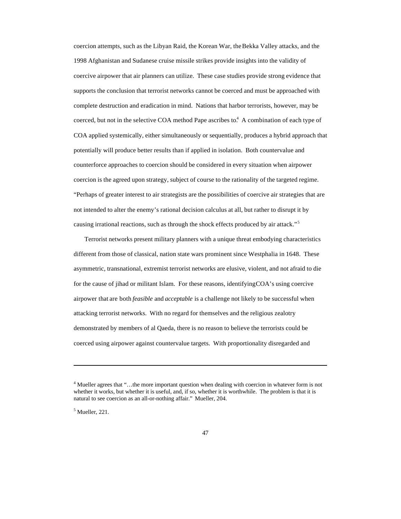coercion attempts, such as the Libyan Raid, the Korean War, the Bekka Valley attacks, and the 1998 Afghanistan and Sudanese cruise missile strikes provide insights into the validity of coercive airpower that air planners can utilize. These case studies provide strong evidence that supports the conclusion that terrorist networks cannot be coerced and must be approached with complete destruction and eradication in mind. Nations that harbor terrorists, however, may be coerced, but not in the selective COA method Pape ascribes to.<sup>4</sup> A combination of each type of COA applied systemically, either simultaneously or sequentially, produces a hybrid approach that potentially will produce better results than if applied in isolation. Both countervalue and counterforce approaches to coercion should be considered in every situation when airpower coercion is the agreed upon strategy, subject of course to the rationality of the targeted regime. "Perhaps of greater interest to air strategists are the possibilities of coercive air strategies that are not intended to alter the enemy's rational decision calculus at all, but rather to disrupt it by causing irrational reactions, such as through the shock effects produced by air attack."<sup>5</sup>

Terrorist networks present military planners with a unique threat embodying characteristics different from those of classical, nation state wars prominent since Westphalia in 1648. These asymmetric, transnational, extremist terrorist networks are elusive, violent, and not afraid to die for the cause of jihad or militant Islam. For these reasons, identifying COA's using coercive airpower that are both *feasible* and *acceptable* is a challenge not likely to be successful when attacking terrorist networks. With no regard for themselves and the religious zealotry demonstrated by members of al Qaeda, there is no reason to believe the terrorists could be coerced using airpower against countervalue targets. With proportionality disregarded and

 $<sup>5</sup>$  Mueller, 221.</sup>

<sup>4</sup> Mueller agrees that "…the more important question when dealing with coercion in whatever form is not whether it works, but whether it is useful, and, if so, whether it is worthwhile. The problem is that it is natural to see coercion as an all-or-nothing affair." Mueller, 204.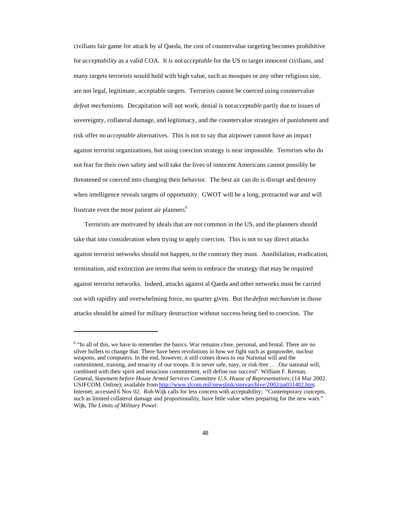civilians fair game for attack by al Qaeda, the cost of countervalue targeting becomes prohibitive for *acceptability* as a valid COA. It is not *acceptable* for the US to target innocent civilians, and many targets terrorists would hold with high value, such as mosques or any other religious site, are not legal, legitimate, acceptable targets. Terrorists cannot be coerced using countervalue *defeat mechanisms*. Decapitation will not work, denial is not *acceptable* partly due to issues of sovereignty, collateral damage, and legitimacy, and the countervalue strategies of punishment and risk offer no *acceptable* alternatives. This is not to say that airpower cannot have an impact against terrorist organizations, but using coercion strategy is near impossible. Terrorists who do not fear for their own safety and will take the lives of innocent Americans cannot possibly be threatened or coerced into changing their behavior. The best air can do is disrupt and destroy when intelligence reveals targets of opportunity. GWOT will be a long, protracted war and will frustrate even the most patient air planners.<sup>6</sup>

Terrorists are motivated by ideals that are not common in the US, and the planners should take that into consideration when trying to apply coercion. This is not to say direct attacks against terrorist networks should not happen, to the contrary they must. Annihilation, eradication, termination, and extinction are terms that seem to embrace the strategy that may be required against terrorist networks. Indeed, attacks against al Qaeda and other networks must be carried out with rapidity and overwhelming force, no quarter given. But the *defeat mechanism* in those attacks should be aimed for military destruction without success being tied to coercion. The

<sup>&</sup>lt;sup>6</sup> "In all of this, we have to remember the basics. War remains close, personal, and brutal. There are no silver bullets to change that. There have been revolutions in how we fight such as gunpowder, nuclear weapons, and computers. In the end, however, it still comes down to our National will and the commitment, training, and tenacity of our troops. It is never safe, easy, or risk-free . . . Our national will, combined with their spirit and tenacious commitment, will define our success" William F. Kernan, General, *Statement before House Armed Services Committee U.S. House of Representatives;* (14 Mar 2002. USJFCOM. Online); available from http://www.jfcom.mil/newslink/storyarchive/2002/pa031402.htm; Internet; accessed 6 Nov 02. Rob Wijk calls for less concern with acceptability; "Contemporary concepts, such as limited collateral damage and proportionality, have little value when preparing for the new wars." Wijk, *The Limits of Military Power.*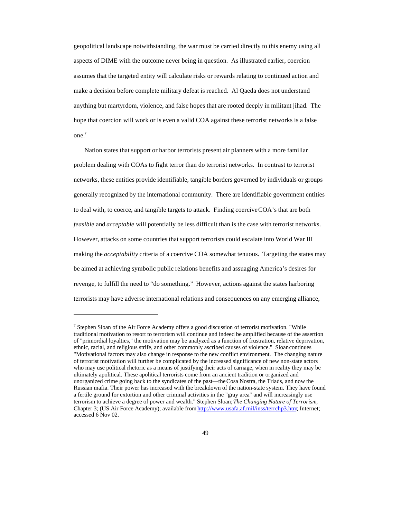geopolitical landscape notwithstanding, the war must be carried directly to this enemy using all aspects of DIME with the outcome never being in question. As illustrated earlier, coercion assumes that the targeted entity will calculate risks or rewards relating to continued action and make a decision before complete military defeat is reached. Al Qaeda does not understand anything but martyrdom, violence, and false hopes that are rooted deeply in militant jihad. The hope that coercion will work or is even a valid COA against these terrorist networks is a false one.<sup>7</sup>

Nation states that support or harbor terrorists present air planners with a more familiar problem dealing with COAs to fight terror than do terrorist networks. In contrast to terrorist networks, these entities provide identifiable, tangible borders governed by individuals or groups generally recognized by the international community. There are identifiable government entities to deal with, to coerce, and tangible targets to attack. Finding coercive COA's that are both *feasible* and *acceptable* will potentially be less difficult than is the case with terrorist networks. However, attacks on some countries that support terrorists could escalate into World War III making the *acceptability* criteria of a coercive COA somewhat tenuous. Targeting the states may be aimed at achieving symbolic public relations benefits and assuaging America's desires for revenge, to fulfill the need to "do something." However, actions against the states harboring terrorists may have adverse international relations and consequences on any emerging alliance,

<sup>&</sup>lt;sup>7</sup> Stephen Sloan of the Air Force Academy offers a good discussion of terrorist motivation. "While traditional motivation to resort to terrorism will continue and indeed be amplified because of the assertion of "primordial loyalties," the motivation may be analyzed as a function of frustration, relative deprivation, ethnic, racial, and religious strife, and other commonly ascribed causes of violence." Sloan continues "Motivational factors may also change in response to the new conflict environment. The changing nature of terrorist motivation will further be complicated by the increased significance of new non-state actors who may use political rhetoric as a means of justifying their acts of carnage, when in reality they may be ultimately apolitical. These apolitical terrorists come from an ancient tradition or organized and unorganized crime going back to the syndicates of the past—the Cosa Nostra, the Triads, and now the Russian mafia. Their power has increased with the breakdown of the nation-state system. They have found a fertile ground for extortion and other criminal activities in the "gray area" and will increasingly use terrorism to achieve a degree of power and wealth." Stephen Sloan; *The Changing Nature of Terrorism*; Chapter 3; (US Air Force Academy); available from http://www.usafa.af.mil/inss/terrchp3.htm; Internet; accessed 6 Nov 02.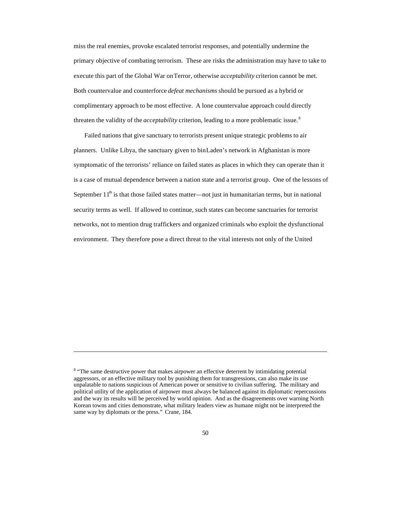miss the real enemies, provoke escalated terrorist responses, and potentially undermine the primary objective of combating terrorism. These are risks the administration may have to take to execute this part of the Global War on Terror, otherwise *acceptability* criterion cannot be met. Both countervalue and counterforce *defeat mechanisms* should be pursued as a hybrid or complimentary approach to be most effective. A lone countervalue approach could directly threaten the validity of the *acceptability* criterion, leading to a more problematic issue. <sup>8</sup>

Failed nations that give sanctuary to terrorists present unique strategic problems to air planners. Unlike Libya, the sanctuary given to bin Laden's network in Afghanistan is more symptomatic of the terrorists' reliance on failed states as places in which they can operate than it is a case of mutual dependence between a nation state and a terrorist group. One of the lessons of September  $11<sup>th</sup>$  is that those failed states matter—not just in humanitarian terms, but in national security terms as well. If allowed to continue, such states can become sanctuaries for terrorist networks, not to mention drug traffickers and organized criminals who exploit the dysfunctional environment. They therefore pose a direct threat to the vital interests not only of the United

<sup>&</sup>lt;sup>8</sup> "The same destructive power that makes airpower an effective deterrent by intimidating potential aggressors, or an effective military tool by punishing them for transgressions, can also make its use unpalatable to nations suspicious of American power or sensitive to civilian suffering. The military and political utility of the application of airpower must always be balanced against its diplomatic repercussions and the way its results will be perceived by world opinion. And as the disagreements over warning North Korean towns and cities demonstrate, what military leaders view as humane might not be interpreted the same way by diplomats or the press." Crane, 184.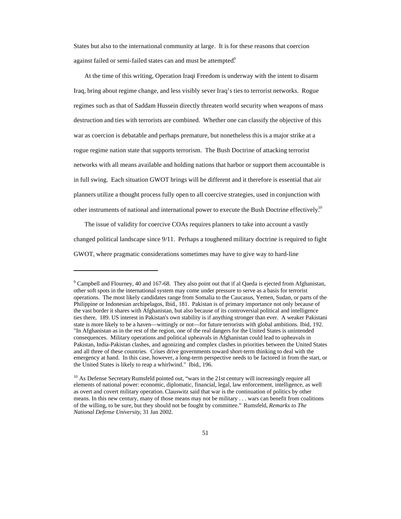States but also to the international community at large. It is for these reasons that coercion against failed or semi-failed states can and must be attempted.<sup>9</sup>

At the time of this writing, Operation Iraqi Freedom is underway with the intent to disarm Iraq, bring about regime change, and less visibly sever Iraq's ties to terrorist networks. Rogue regimes such as that of Saddam Hussein directly threaten world security when weapons of mass destruction and ties with terrorists are combined. Whether one can classify the objective of this war as coercion is debatable and perhaps premature, but nonetheless this is a major strike at a rogue regime nation state that supports terrorism. The Bush Doctrine of attacking terrorist networks with all means available and holding nations that harbor or support them accountable is in full swing. Each situation GWOT brings will be different and it therefore is essential that air planners utilize a thought process fully open to all coercive strategies, used in conjunction with other instruments of national and international power to execute the Bush Doctrine effectively.<sup>10</sup>

The issue of validity for coercive COAs requires planners to take into account a vastly changed political landscape since 9/11. Perhaps a toughened military doctrine is required to fight GWOT, where pragmatic considerations sometimes may have to give way to hard-line

<sup>&</sup>lt;sup>9</sup> Campbell and Flourney, 40 and 167-68. They also point out that if al Qaeda is ejected from Afghanistan, other soft spots in the international system may come under pressure to serve as a basis for terrorist operations. The most likely candidates range from Somalia to the Caucasus, Yemen, Sudan, or parts of the Philippine or Indonesian archipelagos, Ibid., 181. Pakistan is of primary importance not only because of the vast border it shares with Afghanistan, but also because of its controversial political and intelligence ties there, 189. US interest in Pakistan's own stability is if anything stronger than ever. A weaker Pakistani state is more likely to be a haven—wittingly or not—for future terrorists with global ambitions. Ibid., 192. "In Afghanistan as in the rest of the region, one of the real dangers for the United States is unintended consequences. Military operations and political upheavals in Afghanistan could lead to upheavals in Pakistan, India-Pakistan clashes, and agonizing and complex clashes in priorities between the United States and all three of these countries. Crises drive governments toward short-term thinking to deal with the emergency at hand. In this case, however, a long-term perspective needs to be factored in from the start, or the United States is likely to reap a whirlwind." Ibid., 196.

<sup>&</sup>lt;sup>10</sup> As Defense Secretary Rumsfeld pointed out, "wars in the 21st century will increasingly require all elements of national power: economic, diplomatic, financial, legal, law enforcement, intelligence, as well as overt and covert military operation. Clauswitz said that war is the continuation of politics by other means. In this new century, many of those means may not be military . . . wars can benefit from coalitions of the willing, to be sure, but they should not be fought by committee." Rumsfeld, *Remarks to The National Defense University*, 31 Jan 2002.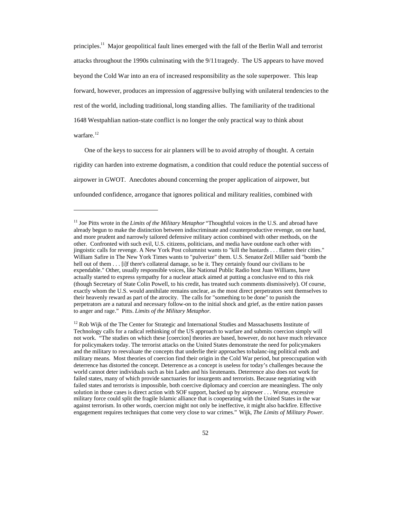principles.<sup>11</sup> Major geopolitical fault lines emerged with the fall of the Berlin Wall and terrorist attacks throughout the 1990s culminating with the 9/11 tragedy. The US appears to have moved beyond the Cold War into an era of increased responsibility as the sole superpower. This leap forward, however, produces an impression of aggressive bullying with unilateral tendencies to the rest of the world, including traditional, long standing allies. The familiarity of the traditional 1648 Westpahlian nation-state conflict is no longer the only practical way to think about warfare.<sup>12</sup>

One of the keys to success for air planners will be to avoid atrophy of thought. A certain rigidity can harden into extreme dogmatism, a condition that could reduce the potential success of airpower in GWOT. Anecdotes abound concerning the proper application of airpower, but unfounded confidence, arrogance that ignores political and military realities, combined with

<sup>&</sup>lt;sup>11</sup> Joe Pitts wrote in the *Limits of the Military Metaphor* "Thoughtful voices in the U.S. and abroad have already begun to make the distinction between indiscriminate and counterproductive revenge, on one hand, and more prudent and narrowly tailored defensive military action combined with other methods, on the other. Confronted with such evil, U.S. citizens, politicians, and media have outdone each other with jingoistic calls for revenge. A New York Post columnist wants to "kill the bastards . . . flatten their cities." William Safire in The New York Times wants to "pulverize" them. U.S. Senator Zell Miller said "bomb the hell out of them . . . [i]f there's collateral damage, so be it. They certainly found our civilians to be expendable." Other, usually responsible voices, like National Public Radio host Juan Williams, have actually started to express sympathy for a nuclear attack aimed at putting a conclusive end to this risk (though Secretary of State Colin Powell, to his credit, has treated such comments dismissively). Of course, exactly whom the U.S. would annihilate remains unclear, as the most direct perpetrators sent themselves to their heavenly reward as part of the atrocity. The calls for "something to be done" to punish the perpetrators are a natural and necessary follow-on to the initial shock and grief, as the entire nation passes to anger and rage." Pitts. *Limits of the Military Metaphor.*

<sup>&</sup>lt;sup>12</sup> Rob Wijk of the The Center for Strategic and International Studies and Massachusetts Institute of Technology calls for a radical rethinking of the US approach to warfare and submits coercion simply will not work. "The studies on which these [coercion] theories are based, however, do not have much relevance for policymakers today. The terrorist attacks on the United States demonstrate the need for policymakers and the military to reevaluate the concepts that underlie their approaches to balanc-ing political ends and military means. Most theories of coercion find their origin in the Cold War period, but preoccupation with deterrence has distorted the concept. Deterrence as a concept is useless for today's challenges because the world cannot deter individuals such as bin Laden and his lieutenants. Deterrence also does not work for failed states, many of which provide sanctuaries for insurgents and terrorists. Because negotiating with failed states and terrorists is impossible, both coercive diplomacy and coercion are meaningless. The only solution in those cases is direct action with SOF support, backed up by airpower . . . Worse, excessive military force could split the fragile Islamic alliance that is cooperating with the United States in the war against terrorism. In other words, coercion might not only be ineffective, it might also backfire. Effective engagement requires techniques that come very close to war crimes." Wijk, *The Limits of Military Power.*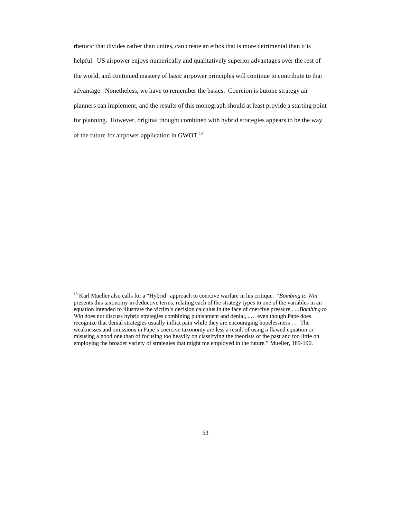rhetoric that divides rather than unites, can create an ethos that is more detrimental than it is helpful. US airpower enjoys numerically and qualitatively superior advantages over the rest of the world, and continued mastery of basic airpower principles will continue to contribute to that advantage. Nonetheless, we have to remember the basics. Coercion is but one strategy air planners can implement, and the results of this monograph should at least provide a starting point for planning. However, original thought combined with hybrid strategies appears to be the way of the future for airpower application in GWOT.<sup>13</sup>

<sup>13</sup> Karl Mueller also calls for a "Hybrid" approach to coercive warfare in his critique. *"Bombing to Win* presents this taxonomy in deductive terms, relating each of the strategy types to one of the variables in an equation intended to illustrate the victim's decision calculus in the face of coercive pressure . . . *Bombing to Win* does not discuss hybrid strategies combining punishment and denial, ... even though Pape does recognize that denial strategies usually inflict pain while they are encouraging hopelessness . . . The weaknesses and omissions in Pape's coercive taxonomy are less a result of using a flawed equation or misusing a good one than of focusing too heavily on classifying the theorists of the past and too little on employing the broader variety of strategies that might me employed in the future." Mueller, 189-190.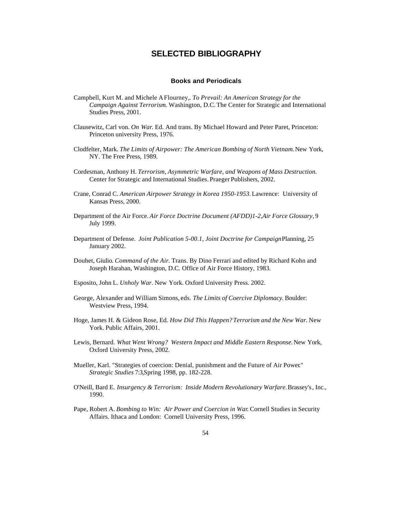### **SELECTED BIBLIOGRAPHY**

#### **Books and Periodicals**

- Campbell, Kurt M. and Michele A Flourney,. *To Prevail: An American Strategy for the Campaign Against Terrorism*. Washington, D.C. The Center for Strategic and International Studies Press, 2001.
- Clausewitz, Carl von. *On War*. Ed. And trans. By Michael Howard and Peter Paret, Princeton: Princeton university Press, 1976.
- Clodfelter, Mark. *The Limits of Airpower: The American Bombing of North Vietnam.* New York, NY. The Free Press, 1989.
- Cordesman, Anthony H. *Terrorism, Asymmetric Warfare, and Weapons of Mass Destruction.* Center for Strategic and International Studies. Praeger Publishers, 2002.
- Crane, Conrad C. *American Airpower Strategy in Korea 1950-1953.* Lawrence: University of Kansas Press, 2000.
- Department of the Air Force. *Air Force Doctrine Document (AFDD)1-2,Air Force Glossary,* 9 July 1999.
- Department of Defense. *Joint Publication 5-00.1, Joint Doctrine for Campaign* Planning, 25 January 2002.
- Douhet, Giulio. *Command of the Air*. Trans. By Dino Ferrari and edited by Richard Kohn and Joseph Harahan, Washington, D.C. Office of Air Force History, 1983.
- Esposito, John L. *Unholy War.* New York. Oxford University Press. 2002.
- George, Alexander and William Simons, eds. *The Limits of Coercive Diplomacy*. Boulder: Westview Press, 1994.
- Hoge, James H. & Gideon Rose, Ed. *How Did This Happen? Terrorism and the New War*. New York. Public Affairs, 2001.
- Lewis, Bernard. *What Went Wrong? Western Impact and Middle Eastern Response*. New York, Oxford University Press, 2002.
- Mueller, Karl. "Strategies of coercion: Denial, punishment and the Future of Air Power*.*" *Strategic Studies* 7:3,Spring 1998, pp. 182-228.
- O'Neill, Bard E. *Insurgency & Terrorism: Inside Modern Revolutionary Warfare.* Brassey's, Inc., 1990.
- Pape, Robert A. *Bombing to Win: Air Power and Coercion in War*. Cornell Studies in Security Affairs. Ithaca and London: Cornell University Press, 1996.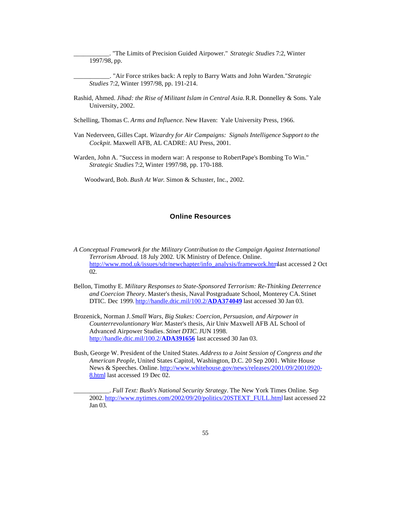\_\_\_\_\_\_\_\_\_\_\_. "The Limits of Precision Guided Airpower." *Strategic Studies* 7:2, Winter 1997/98, pp.

- \_\_\_\_\_\_\_\_\_\_\_. "Air Force strikes back: A reply to Barry Watts and John Warden." *Strategic Studies* 7:2, Winter 1997/98, pp. 191-214.
- Rashid, Ahmed. *Jihad: the Rise of Militant Islam in Central Asia.* R.R. Donnelley & Sons. Yale University, 2002.

Schelling, Thomas C. *Arms and Influence*. New Haven: Yale University Press, 1966.

- Van Nederveen, Gilles Capt. *Wizardry for Air Campaigns: Signals Intelligence Support to the Cockpit*. Maxwell AFB, AL CADRE: AU Press, 2001.
- Warden, John A. "Success in modern war: A response to Robert Pape's Bombing To Win." *Strategic Studies* 7:2, Winter 1997/98, pp. 170-188.

Woodward, Bob. *Bush At War*. Simon & Schuster, Inc., 2002.

#### **Online Resources**

- *A Conceptual Framework for the Military Contribution to the Campaign Against International Terrorism Abroad*. 18 July 2002. UK Ministry of Defence. Online. http://www.mod.uk/issues/sdr/newchapter/info\_analysis/framework.htm last accessed 2 Oct 02.
- Bellon, Timothy E. *Military Responses to State-Sponsored Terrorism: Re-Thinking Deterrence and Coercion Theory*. Master's thesis, Naval Postgraduate School, Monterey CA. Stinet DTIC. Dec 1999. http://handle.dtic.mil/100.2/**ADA374049** last accessed 30 Jan 03.
- Brozenick, Norman J. *Small Wars, Big Stakes: Coercion, Persuasion, and Airpower in Counterrevoluntionary War*. Master's thesis, Air Univ Maxwell AFB AL School of Advanced Airpower Studies. *Stinet DTIC.* JUN 1998. http://handle.dtic.mil/100.2/**ADA391656** last accessed 30 Jan 03.
- Bush, George W. President of the United States. *Address to a Joint Session of Congress and the American People,* United States Capitol, Washington, D.C. 20 Sep 2001. White House News & Speeches. Online. http://www.whitehouse.gov/news/releases/2001/09/20010920-8.html last accessed 19 Dec 02.

\_\_\_\_\_\_\_\_\_\_\_. *Full Text: Bush's National Security Strategy*. The New York Times Online. Sep 2002. http://www.nytimes.com/2002/09/20/politics/20STEXT\_FULL.html last accessed 22 Jan 03.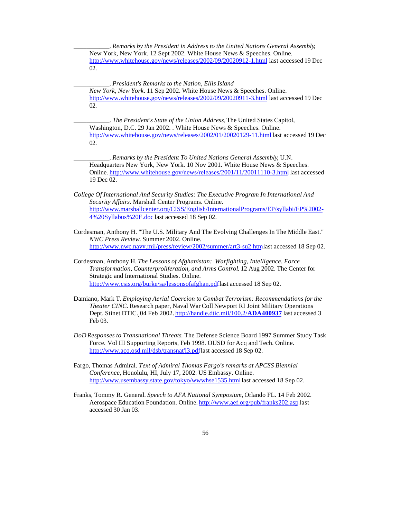\_\_\_\_\_\_\_\_\_\_\_. *Remarks by the President in Address to the United Nations General Assembly*, New York, New York. 12 Sept 2002. White House News & Speeches. Online. http://www.whitehouse.gov/news/releases/2002/09/20020912-1.html last accessed 19 Dec 02.

\_\_\_\_\_\_\_\_\_\_\_. *President's Remarks to the Nation, Ellis Island New York, New York*. 11 Sep 2002. White House News & Speeches. Online. http://www.whitehouse.gov/news/releases/2002/09/20020911-3.html last accessed 19 Dec 02.

\_\_\_\_\_\_\_\_\_\_\_. *The President's State of the Union Address*, The United States Capitol, Washington, D.C. 29 Jan 2002. . White House News & Speeches. Online. http://www.whitehouse.gov/news/releases/2002/01/20020129-11.html last accessed 19 Dec 02.

\_\_\_\_\_\_\_\_\_\_\_. *Remarks by the President To United Nations General Assembly*, U.N. Headquarters New York, New York. 10 Nov 2001. White House News & Speeches. Online. http://www.whitehouse.gov/news/releases/2001/11/20011110-3.html last accessed 19 Dec 02.

- *College Of International And Security Studies: The Executive Program In International And Security Affairs*. Marshall Center Programs. Online. http://www.marshallcenter.org/CISS/English/InternationalPrograms/EP/syllabi/EP%2002- 4%20Syllabus%20E.doc last accessed 18 Sep 02.
- Cordesman, Anthony H. "The U.S. Military And The Evolving Challenges In The Middle East." *NWC Press Review*. Summer 2002. Online. http://www.nwc.navy.mil/press/review/2002/summer/art3-su2.htmlast accessed 18 Sep 02.
- Cordesman, Anthony H. *The Lessons of Afghanistan: Warfighting, Intelligence, Force Transformation, Counterproliferation, and Arms Control*. 12 Aug 2002. The Center for Strategic and International Studies. Online. http://www.csis.org/burke/sa/lessonsofafghan.pdflast accessed 18 Sep 02.
- Damiano, Mark T. *Employing Aerial Coercion to Combat Terrorism: Recommendations for the Theater CINC*. Research paper, Naval War Coll Newport RI Joint Military Operations Dept. Stinet DTIC. 04 Feb 2002. http://handle.dtic.mil/100.2/**ADA400937** last accessed 3 Feb 03.
- *DoD Responses to Transnational Threats*. The Defense Science Board 1997 Summer Study Task Force. Vol III Supporting Reports, Feb 1998. OUSD for Acq and Tech. Online. http://www.acq.osd.mil/dsb/transnat'l3.pdflast accessed 18 Sep 02.
- Fargo, Thomas Admiral. *Text of Admiral Thomas Fargo's remarks at APCSS Biennial Conference,* Honolulu, HI, July 17, 2002. US Embassy. Online. http://www.usembassy.state.gov/tokyo/wwwhse1535.html last accessed 18 Sep 02.
- Franks, Tommy R. General. *Speech to AFA National Symposium,* Orlando FL. 14 Feb 2002. Aerospace Education Foundation. Online. http://www.aef.org/pub/franks202.asp last accessed 30 Jan 03.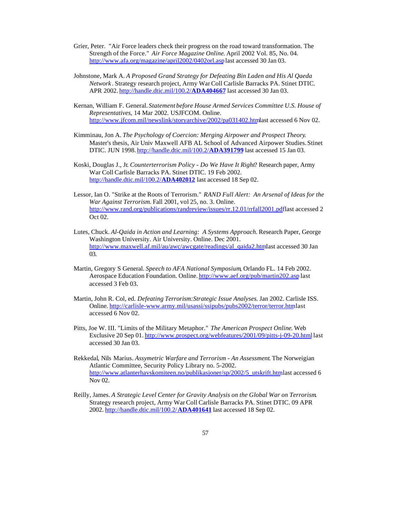- Grier, Peter. "Air Force leaders check their progress on the road toward transformation. The Strength of the Force." *Air Force Magazine Online*. April 2002 Vol. 85, No. 04. http://www.afa.org/magazine/april2002/0402orl.asp last accessed 30 Jan 03.
- Johnstone, Mark A. *A Proposed Grand Strategy for Defeating Bin Laden and His Al Qaeda Network* . Strategy research project, Army War Coll Carlisle Barracks PA. Stinet DTIC. APR 2002. http://handle.dtic.mil/100.2/**ADA404667** last accessed 30 Jan 03.
- Kernan, William F. General. *Statement before House Armed Services Committee U.S. House of Representatives*, 14 Mar 2002. USJFCOM. Online. http://www.jfcom.mil/newslink/storyarchive/2002/pa031402.htm last accessed 6 Nov 02.
- Kimminau, Jon A. *The Psychology of Coercion: Merging Airpower and Prospect Theory*. Master's thesis, Air Univ Maxwell AFB AL School of Advanced Airpower Studies. Stinet DTIC. JUN 1998. http://handle.dtic.mil/100.2/**ADA391799** last accessed 15 Jan 03.
- Koski, Douglas J., Jr*. Counterterrorism Policy Do We Have It Right*? Research paper, Army War Coll Carlisle Barracks PA. Stinet DTIC. 19 Feb 2002. http://handle.dtic.mil/100.2/**ADA402012** last accessed 18 Sep 02.
- Lessor, Ian O. "Strike at the Roots of Terrorism." *RAND Full Alert: An Arsenal of Ideas for the War Against Terrorism*. Fall 2001, vol 25, no. 3. Online. http://www.rand.org/publications/randreview/issues/rr.12.01/rrfall2001.pdflast accessed 2 Oct 02.
- Lutes, Chuck. *Al-Qaida in Action and Learning: A Systems Approach*. Research Paper, George Washington University. Air University. Online. Dec 2001. http://www.maxwell.af.mil/au/awc/awcgate/readings/al\_qaida2.htmlast accessed 30 Jan 03.
- Martin, Gregory S General. *Speech to AFA National Symposium*, Orlando FL. 14 Feb 2002. Aerospace Education Foundation. Online. http://www.aef.org/pub/martin202.asp last accessed 3 Feb 03.
- Martin, John R. Col, ed. *Defeating Terrorism:Strategic Issue Analyses*. Jan 2002. Carlisle ISS. Online. http://carlisle-www.army.mil/usassi/ssipubs/pubs2002/terror/terror.htmlast accessed 6 Nov 02.
- Pitts, Joe W. III. "Limits of the Military Metaphor." *The American Prospect Online*. Web Exclusive 20 Sep 01. http://www.prospect.org/webfeatures/2001/09/pitts-j-09-20.htmllast accessed 30 Jan 03.
- Rekkedal, Nils Marius. *Assymetric Warfare and Terrorism An Assessment*. The Norweigian Atlantic Committee, Security Policy Library no. 5-2002. http://www.atlanterhavskomiteen.no/publikasjoner/sp/2002/5\_utskrift.htmlast accessed 6 Nov 02.
- Reilly, James. *A Strategic Level Center for Gravity Analysis on the Global War on Terrorism*. Strategy research project, Army War Coll Carlisle Barracks PA. Stinet DTIC. 09 APR 2002. http://handle.dtic.mil/100.2/**ADA401641** last accessed 18 Sep 02.